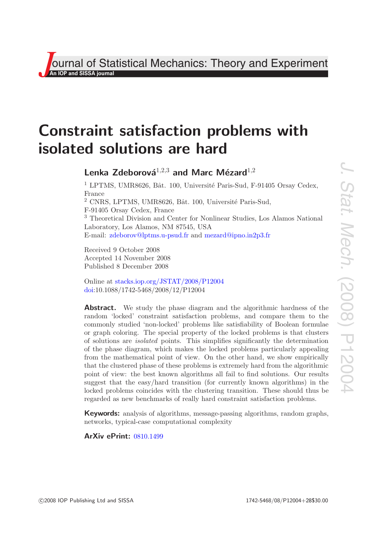**J**<br>**An IOP and SISSA journal**<br>*An* **IOP and SISSA journal** Theory and Experiment

# **Constraint satisfaction problems with isolated solutions are hard**

Lenka Zdeborová<sup>1,2,3</sup> and Marc Mézard<sup>1,2</sup>

<sup>1</sup> LPTMS, UMR8626, Bât. 100, Université Paris-Sud, F-91405 Orsay Cedex, France

 $2$  CNRS, LPTMS, UMR8626, Bât. 100, Université Paris-Sud, F-91405 Orsay Cedex, France

<sup>3</sup> Theoretical Division and Center for Nonlinear Studies, Los Alamos National Laboratory, Los Alamos, NM 87545, USA E-mail: [zdeborov@lptms.u-psud.fr](mailto:zdeborov@lptms.u-psud.fr) and [mezard@ipno.in2p3.fr](mailto:mezard@ipno.in2p3.fr)

Received 9 October 2008 Accepted 14 November 2008 Published 8 December 2008

Online at [stacks.iop.org/JSTAT/2008/P12004](http://stacks.iop.org/JSTAT/2008/P12004) [doi:](http://dx.doi.org/10.1088/1742-5468/2008/12/P12004)10.1088/1742-5468/2008/12/P12004

**Abstract.** We study the phase diagram and the algorithmic hardness of the random 'locked' constraint satisfaction problems, and compare them to the commonly studied 'non-locked' problems like satisfiability of Boolean formulae or graph coloring. The special property of the locked problems is that clusters of solutions are *isolated* points. This simplifies significantly the determination of the phase diagram, which makes the locked problems particularly appealing from the mathematical point of view. On the other hand, we show empirically that the clustered phase of these problems is extremely hard from the algorithmic point of view: the best known algorithms all fail to find solutions. Our results suggest that the easy/hard transition (for currently known algorithms) in the locked problems coincides with the clustering transition. These should thus be regarded as new benchmarks of really hard constraint satisfaction problems.

**Keywords:** analysis of algorithms, message-passing algorithms, random graphs, networks, typical-case computational complexity

**ArXiv ePrint:** [0810.1499](http://arxiv.org/abs/0810.1499)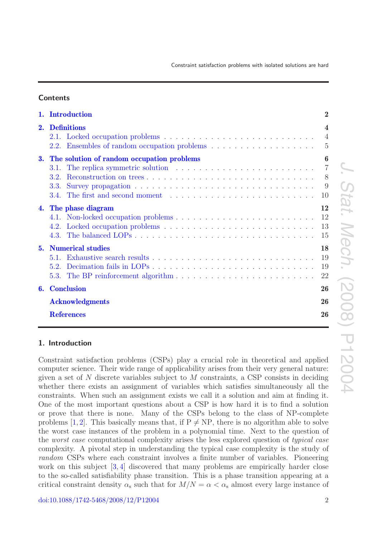# **Contents**

|    | 1. Introduction                                                           | $\overline{2}$                  |
|----|---------------------------------------------------------------------------|---------------------------------|
| 2. | <b>Definitions</b><br>2.2.                                                | $\overline{\mathbf{4}}$         |
| 3. | The solution of random occupation problems<br>3.1.<br>3.2.<br><b>3.3.</b> | 6<br>$\overline{7}$<br>-9<br>10 |
|    | 4. The phase diagram<br>4.2.                                              | 12<br>12<br>13<br>15            |
| 5. | <b>Numerical studies</b><br>5.2.                                          | 18<br>19<br>19<br>22            |
|    | <b>6.</b> Conclusion                                                      | 26                              |
|    | <b>Acknowledgments</b>                                                    | 26                              |
|    | <b>References</b>                                                         | 26                              |

# <span id="page-1-0"></span>**1. Introduction**

Constraint satisfaction problems (CSPs) play a crucial role in theoretical and applied computer science. Their wide range of applicability arises from their very general nature: given a set of N discrete variables subject to M constraints, a CSP consists in deciding whether there exists an assignment of variables which satisfies simultaneously all the constraints. When such an assignment exists we call it a solution and aim at finding it. One of the most important questions about a CSP is how hard it is to find a solution or prove that there is none. Many of the CSPs belong to the class of NP-complete problems [\[1,](#page-25-4) [2\]](#page-25-5). This basically means that, if  $P \neq NP$ , there is no algorithm able to solve the worst case instances of the problem in a polynomial time. Next to the question of the *worst case* computational complexity arises the less explored question of *typical case* complexity. A pivotal step in understanding the typical case complexity is the study of *random* CSPs where each constraint involves a finite number of variables. Pioneering work on this subject  $[3, 4]$  $[3, 4]$  $[3, 4]$  discovered that many problems are empirically harder close to the so-called satisfiability phase transition. This is a phase transition appearing at a critical constraint density  $\alpha_s$  such that for  $M/N = \alpha < \alpha_s$  almost every large instance of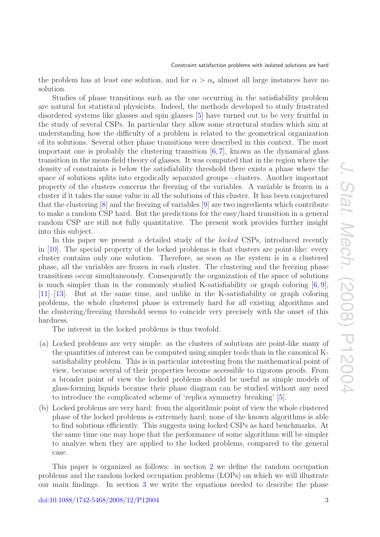the problem has at least one solution, and for  $\alpha > \alpha_s$  almost all large instances have no solution.

Studies of phase transitions such as the one occurring in the satisfiability problem are natural for statistical physicists. Indeed, the methods developed to study frustrated disordered systems like glasses and spin glasses [\[5\]](#page-26-2) have turned out to be very fruitful in the study of several CSPs. In particular they allow some structural studies which aim at understanding how the difficulty of a problem is related to the geometrical organization of its solutions. Several other phase transitions were described in this context. The most important one is probably the clustering transition  $[6, 7]$  $[6, 7]$  $[6, 7]$ , known as the dynamical glass transition in the mean-field theory of glasses. It was computed that in the region where the density of constraints is below the satisfiability threshold there exists a phase where the space of solutions splits into ergodically separated groups—clusters. Another important property of the clusters concerns the freezing of the variables. A variable is frozen in a cluster if it takes the same value in all the solutions of this cluster. It has been conjectured that the clustering [\[8\]](#page-26-5) and the freezing of variables [\[9\]](#page-26-6) are two ingredients which contribute to make a random CSP hard. But the predictions for the easy/hard transition in a general random CSP are still not fully quantitative. The present work provides further insight into this subject.

In this paper we present a detailed study of the *locked* CSPs, introduced recently in [\[10\]](#page-26-7). The special property of the locked problems is that clusters are point-like: every cluster contains only one solution. Therefore, as soon as the system is in a clustered phase, all the variables are frozen in each cluster. The clustering and the freezing phase transitions occur simultaneously. Consequently the organization of the space of solutions is much simpler than in the commonly studied K-satisfiability or graph coloring  $[6, 9]$  $[6, 9]$  $[6, 9]$ , [\[11\]](#page-26-8)–[\[13\]](#page-26-9). But at the same time, and unlike in the K-satisfiability or graph coloring problems, the whole clustered phase is extremely hard for all existing algorithms and the clustering/freezing threshold seems to coincide very precisely with the onset of this hardness.

The interest in the locked problems is thus twofold.

- (a) Locked problems are very simple: as the clusters of solutions are point-like many of the quantities of interest can be computed using simpler tools than in the canonical Ksatisfiability problem. This is in particular interesting from the mathematical point of view, because several of their properties become accessible to rigorous proofs. From a broader point of view the locked problems should be useful as simple models of glass-forming liquids because their phase diagram can be studied without any need to introduce the complicated scheme of 'replica symmetry breaking' [\[5\]](#page-26-2).
- (b) Locked problems are very hard: from the algorithmic point of view the whole clustered phase of the locked problems is extremely hard; none of the known algorithms is able to find solutions efficiently. This suggests using locked CSPs as hard benchmarks. At the same time one may hope that the performance of some algorithms will be simpler to analyze when they are applied to the locked problems, compared to the general case.

This paper is organized as follows: in section [2](#page-3-0) we define the random occupation problems and the random locked occupation problems (LOPs) on which we will illustrate our main findings. In section [3](#page-5-0) we write the equations needed to describe the phase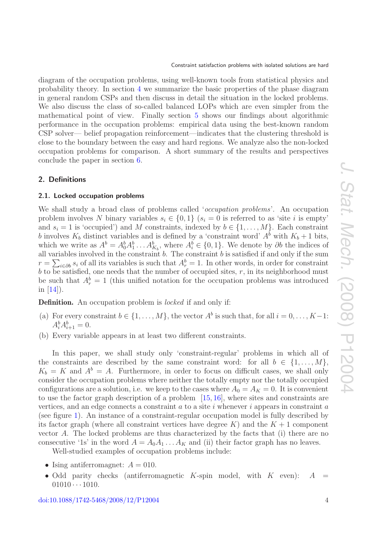diagram of the occupation problems, using well-known tools from statistical physics and probability theory. In section [4](#page-11-0) we summarize the basic properties of the phase diagram in general random CSPs and then discuss in detail the situation in the locked problems. We also discuss the class of so-called balanced LOPs which are even simpler from the mathematical point of view. Finally section [5](#page-17-0) shows our findings about algorithmic performance in the occupation problems: empirical data using the best-known random CSP solver— belief propagation reinforcement—indicates that the clustering threshold is close to the boundary between the easy and hard regions. We analyze also the non-locked occupation problems for comparison. A short summary of the results and perspectives conclude the paper in section [6.](#page-25-1)

# <span id="page-3-0"></span>**2. Definitions**

## <span id="page-3-1"></span>**2.1. Locked occupation problems**

We shall study a broad class of problems called '*occupation problems*'. An occupation problem involves N binary variables  $s_i \in \{0,1\}$  ( $s_i = 0$  is referred to as 'site i is empty' and  $s_i = 1$  is 'occupied') and M constraints, indexed by  $b \in \{1, \ldots, M\}$ . Each constraint b involves  $K_b$  distinct variables and is defined by a 'constraint word'  $A^b$  with  $K_b + 1$  bits, which we write as  $A^b = A_0^b A_1^b \dots A_{K_b}^b$ , where  $A_i^b \in \{0, 1\}$ . We denote by  $\partial b$  the indices of all variables involved in the constraint  $b$ . The constraint  $b$  is satisfied if and only if the sum  $r = \sum_{i \in \partial b} s_i$  of all its variables is such that  $A_r^b = 1$ . In other words, in order for constraint b to be satisfied, one needs that the number of occupied sites,  $r$ , in its neighborhood must be such that  $A_r^b = 1$  (this unified notation for the occupation problems was introduced in [\[14\]](#page-26-10)).

**Definition.** An occupation problem is *locked* if and only if:

- (a) For every constraint  $b \in \{1, ..., M\}$ , the vector  $A^b$  is such that, for all  $i = 0, ..., K-1$ :  $A_i^b A_{i+1}^b = 0.$
- (b) Every variable appears in at least two different constraints.

In this paper, we shall study only 'constraint-regular' problems in which all of the constraints are described by the same constraint word: for all  $b \in \{1,\ldots,M\}$ ,  $K_b = K$  and  $A^b = A$ . Furthermore, in order to focus on difficult cases, we shall only consider the occupation problems where neither the totally empty nor the totally occupied configurations are a solution, i.e. we keep to the cases where  $A_0 = A_K = 0$ . It is convenient to use the factor graph description of a problem [\[15,](#page-26-11) [16\]](#page-26-12), where sites and constraints are vertices, and an edge connects a constraint  $a$  to a site  $i$  whenever  $i$  appears in constraint  $a$ (see figure [1\)](#page-4-1). An instance of a constraint-regular occupation model is fully described by its factor graph (where all constraint vertices have degree  $K$ ) and the  $K + 1$  component vector A. The locked problems are thus characterized by the facts that (i) there are no consecutive '1s' in the word  $A = A_0 A_1 \dots A_K$  and (ii) their factor graph has no leaves.

Well-studied examples of occupation problems include:

- Ising antiferromagnet:  $A = 010$ .
- Odd parity checks (antiferromagnetic K-spin model, with  $K$  even):  $A =$  $01010 \cdots 1010.$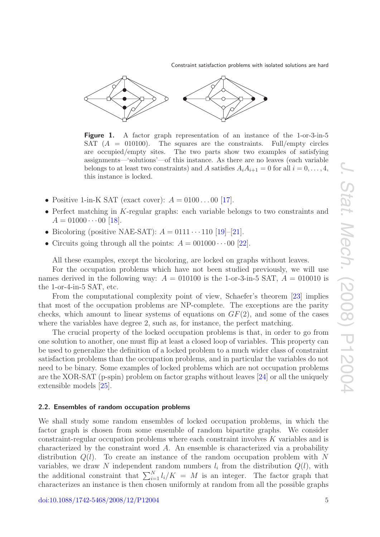

<span id="page-4-1"></span>

**Figure 1.** A factor graph representation of an instance of the 1-or-3-in-5 SAT  $(A = 010100)$ . The squares are the constraints. Full/empty circles are occupied/empty sites. The two parts show two examples of satisfying assignments—'solutions'—of this instance. As there are no leaves (each variable belongs to at least two constraints) and A satisfies  $A_iA_{i+1} = 0$  for all  $i = 0, \ldots, 4$ , this instance is locked.

- Positive 1-in-K SAT (exact cover):  $A = 0100...00$  [\[17\]](#page-26-13).
- Perfect matching in K-regular graphs: each variable belongs to two constraints and  $A = 01000 \cdots 00$  [\[18\]](#page-26-14).
- Bicoloring (positive NAE-SAT):  $A = 0111 \cdots 110$  [\[19\]](#page-26-15)-[\[21\]](#page-26-16).
- Circuits going through all the points:  $A = 001000 \cdots 00$  [\[22\]](#page-26-17).

All these examples, except the bicoloring, are locked on graphs without leaves.

For the occupation problems which have not been studied previously, we will use names derived in the following way:  $A = 010100$  is the 1-or-3-in-5 SAT,  $A = 010010$  is the 1-or-4-in-5 SAT, etc.

From the computational complexity point of view, Schaefer's theorem [\[23\]](#page-26-18) implies that most of the occupation problems are NP-complete. The exceptions are the parity checks, which amount to linear systems of equations on  $GF(2)$ , and some of the cases where the variables have degree 2, such as, for instance, the perfect matching.

The crucial property of the locked occupation problems is that, in order to go from one solution to another, one must flip at least a closed loop of variables. This property can be used to generalize the definition of a locked problem to a much wider class of constraint satisfaction problems than the occupation problems, and in particular the variables do not need to be binary. Some examples of locked problems which are not occupation problems are the XOR-SAT (p-spin) problem on factor graphs without leaves [\[24\]](#page-26-19) or all the uniquely extensible models [\[25\]](#page-26-20).

## <span id="page-4-0"></span>**2.2. Ensembles of random occupation problems**

We shall study some random ensembles of locked occupation problems, in which the factor graph is chosen from some ensemble of random bipartite graphs. We consider constraint-regular occupation problems where each constraint involves K variables and is characterized by the constraint word A. An ensemble is characterized via a probability distribution  $Q(l)$ . To create an instance of the random occupation problem with N variables, we draw N independent random numbers  $l_i$  from the distribution  $Q(l)$ , with the additional constraint that  $\sum_{i=1}^{N} l_i/K = M$  is an integer. The factor graph that characterizes an instance is then chosen uniformly at random from all the possible graphs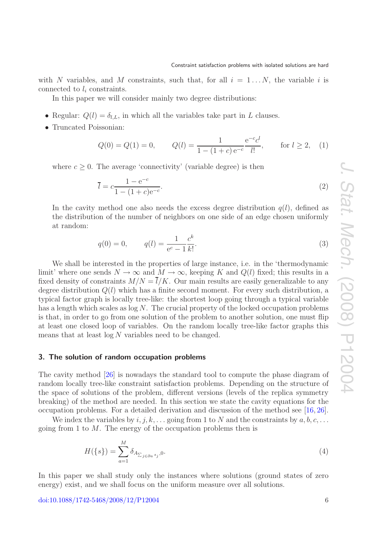with N variables, and M constraints, such that, for all  $i = 1...N$ , the variable i is connected to  $l_i$  constraints.

In this paper we will consider mainly two degree distributions:

- Regular:  $Q(l) = \delta_{l,L}$ , in which all the variables take part in L clauses.
- Truncated Poissonian:

<span id="page-5-1"></span>
$$
Q(0) = Q(1) = 0, \qquad Q(l) = \frac{1}{1 - (1 + c)e^{-c}} \frac{e^{-c}c^{l}}{l!}, \qquad \text{for } l \ge 2, \quad (1)
$$

where  $c \geq 0$ . The average 'connectivity' (variable degree) is then

<span id="page-5-2"></span>
$$
\overline{l} = c \frac{1 - e^{-c}}{1 - (1 + c)e^{-c}}.\tag{2}
$$

In the cavity method one also needs the excess degree distribution  $q(l)$ , defined as the distribution of the number of neighbors on one side of an edge chosen uniformly at random:

<span id="page-5-3"></span>
$$
q(0) = 0, \qquad q(l) = \frac{1}{e^c - 1} \frac{c^k}{k!}.
$$
 (3)

We shall be interested in the properties of large instance, i.e. in the 'thermodynamic limit' where one sends  $N \to \infty$  and  $M \to \infty$ , keeping K and  $Q(l)$  fixed; this results in a fixed density of constraints  $M/N = \overline{l}/K$ . Our main results are easily generalizable to any degree distribution  $Q(l)$  which has a finite second moment. For every such distribution, a typical factor graph is locally tree-like: the shortest loop going through a typical variable has a length which scales as  $\log N$ . The crucial property of the locked occupation problems is that, in order to go from one solution of the problem to another solution, one must flip at least one closed loop of variables. On the random locally tree-like factor graphs this means that at least  $log N$  variables need to be changed.

## <span id="page-5-0"></span>**3. The solution of random occupation problems**

The cavity method [\[26\]](#page-26-21) is nowadays the standard tool to compute the phase diagram of random locally tree-like constraint satisfaction problems. Depending on the structure of the space of solutions of the problem, different versions (levels of the replica symmetry breaking) of the method are needed. In this section we state the cavity equations for the occupation problems. For a detailed derivation and discussion of the method see [\[16,](#page-26-12) [26\]](#page-26-21).

We index the variables by  $i, j, k, \ldots$  going from 1 to N and the constraints by  $a, b, c, \ldots$ going from 1 to  $M$ . The energy of the occupation problems then is

$$
H(\{s\}) = \sum_{a=1}^{M} \delta_{A_{\sum_{j \in \partial a} s_j},0}.\tag{4}
$$

In this paper we shall study only the instances where solutions (ground states of zero energy) exist, and we shall focus on the uniform measure over all solutions.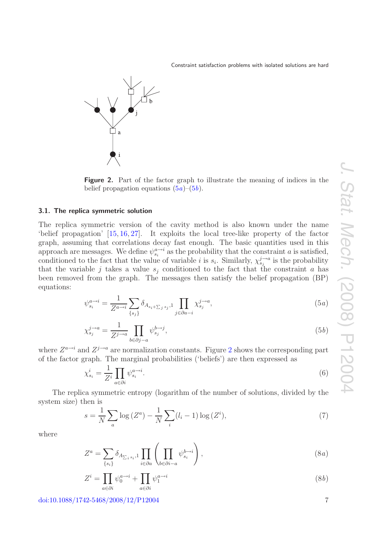<span id="page-6-3"></span>

**Figure 2.** Part of the factor graph to illustrate the meaning of indices in the belief propagation equations [\(5](#page-6-1)*a*)–[\(5](#page-6-2)*b*).

# <span id="page-6-0"></span>**3.1. The replica symmetric solution**

The replica symmetric version of the cavity method is also known under the name 'belief propagation' [\[15,](#page-26-11) [16,](#page-26-12) [27\]](#page-26-22). It exploits the local tree-like property of the factor graph, assuming that correlations decay fast enough. The basic quantities used in this approach are messages. We define  $\psi_{s_i}^{a\rightarrow i}$  as the probability that the constraint a is satisfied, conditioned to the fact that the value of variable i is  $s_i$ . Similarly,  $\chi_{s_i}^{j\rightarrow a}$  is the probability that the variable j takes a value  $s_i$  conditioned to the fact that the constraint a has been removed from the graph. The messages then satisfy the belief propagation (BP) equations:

<span id="page-6-2"></span><span id="page-6-1"></span>
$$
\psi_{s_i}^{a \to i} = \frac{1}{Z^{a \to i}} \sum_{\{s_j\}} \delta_{A_{s_i} + \sum_j s_j, 1} \prod_{j \in \partial a - i} \chi_{s_j}^{j \to a},\tag{5a}
$$

$$
\chi_{s_j}^{j \to a} = \frac{1}{Z^{j \to a}} \prod_{b \in \partial j - a} \psi_{s_j}^{b \to j},\tag{5b}
$$

where  $Z^{a\rightarrow i}$  and  $Z^{j\rightarrow a}$  are normalization constants. Figure [2](#page-6-3) shows the corresponding part of the factor graph. The marginal probabilities ('beliefs') are then expressed as

<span id="page-6-4"></span>
$$
\chi_{s_i}^i = \frac{1}{Z^i} \prod_{a \in \partial i} \psi_{s_i}^{a \to i}.
$$
\n
$$
(6)
$$

The replica symmetric entropy (logarithm of the number of solutions, divided by the system size) then is

<span id="page-6-5"></span>
$$
s = \frac{1}{N} \sum_{a} \log (Z^{a}) - \frac{1}{N} \sum_{i} (l_{i} - 1) \log (Z^{i}),
$$
\n(7)

where

$$
Z^{a} = \sum_{\{s_{i}\}} \delta_{A_{\sum_{i} s_{i}},1} \prod_{i \in \partial a} \left( \prod_{b \in \partial i - a} \psi_{s_{i}}^{b \to i} \right), \qquad (8a)
$$

$$
Z^{i} = \prod_{a \in \partial i} \psi_0^{a \to i} + \prod_{a \in \partial i} \psi_1^{a \to i}
$$
 (8*b*)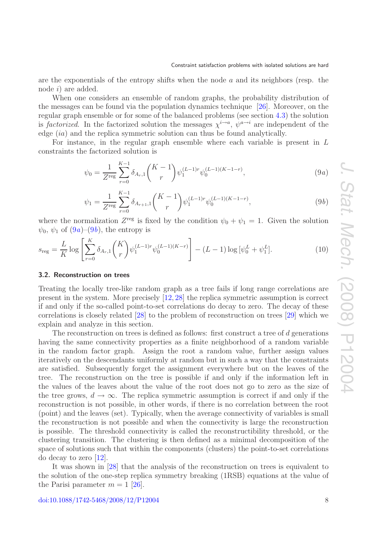are the exponentials of the entropy shifts when the node  $a$  and its neighbors (resp. the node i) are added.

When one considers an ensemble of random graphs, the probability distribution of the messages can be found via the population dynamics technique [\[26\]](#page-26-21). Moreover, on the regular graph ensemble or for some of the balanced problems (see section [4.3\)](#page-14-0) the solution is *factorized*. In the factorized solution the messages  $\chi^{i\rightarrow a}$ ,  $\psi^{a\rightarrow i}$  are independent of the edge (ia) and the replica symmetric solution can thus be found analytically.

For instance, in the regular graph ensemble where each variable is present in L constraints the factorized solution is

<span id="page-7-1"></span>
$$
\psi_0 = \frac{1}{Z^{\text{reg}}} \sum_{r=0}^{K-1} \delta_{A_r,1} {K-1 \choose r} \psi_1^{(L-1)r} \psi_0^{(L-1)(K-1-r)}, \tag{9a}
$$

<span id="page-7-2"></span>
$$
\psi_1 = \frac{1}{Z^{\text{reg}}} \sum_{r=0}^{K-1} \delta_{A_{r+1},1} {K-1 \choose r} \psi_1^{(L-1)r} \psi_0^{(L-1)(K-1-r)},\tag{9b}
$$

where the normalization  $Z^{\text{reg}}$  is fixed by the condition  $\psi_0 + \psi_1 = 1$ . Given the solution  $\psi_0, \psi_1$  of  $(9a)-(9b)$  $(9a)-(9b)$ , the entropy is

$$
s_{\text{reg}} = \frac{L}{K} \log \left[ \sum_{r=0}^{K} \delta_{A_r,1} {K \choose r} \psi_1^{(L-1)r} \psi_0^{(L-1)(K-r)} \right] - (L-1) \log \left[ \psi_0^L + \psi_1^L \right]. \tag{10}
$$

## <span id="page-7-0"></span>**3.2. Reconstruction on trees**

Treating the locally tree-like random graph as a tree fails if long range correlations are present in the system. More precisely [\[12,](#page-26-23) [28\]](#page-26-24) the replica symmetric assumption is correct if and only if the so-called point-to-set correlations do decay to zero. The decay of these correlations is closely related [\[28\]](#page-26-24) to the problem of reconstruction on trees [\[29\]](#page-26-25) which we explain and analyze in this section.

The reconstruction on trees is defined as follows: first construct a tree of d generations having the same connectivity properties as a finite neighborhood of a random variable in the random factor graph. Assign the root a random value, further assign values iteratively on the descendants uniformly at random but in such a way that the constraints are satisfied. Subsequently forget the assignment everywhere but on the leaves of the tree. The reconstruction on the tree is possible if and only if the information left in the values of the leaves about the value of the root does not go to zero as the size of the tree grows,  $d \to \infty$ . The replica symmetric assumption is correct if and only if the reconstruction is not possible, in other words, if there is no correlation between the root (point) and the leaves (set). Typically, when the average connectivity of variables is small the reconstruction is not possible and when the connectivity is large the reconstruction is possible. The threshold connectivity is called the reconstructibility threshold, or the clustering transition. The clustering is then defined as a minimal decomposition of the space of solutions such that within the components (clusters) the point-to-set correlations do decay to zero [\[12\]](#page-26-23).

It was shown in [\[28\]](#page-26-24) that the analysis of the reconstruction on trees is equivalent to the solution of the one-step replica symmetry breaking (1RSB) equations at the value of the Parisi parameter  $m = 1$  [\[26\]](#page-26-21).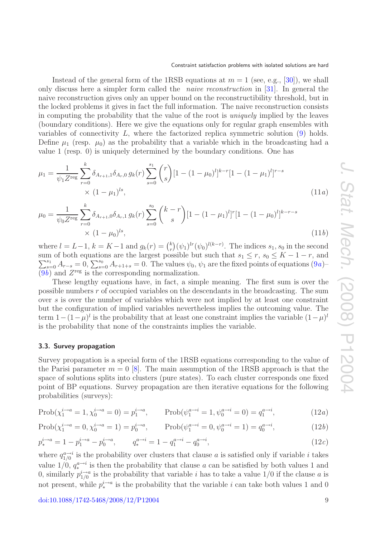Instead of the general form of the 1RSB equations at  $m = 1$  (see, e.g., [\[30\]](#page-26-26)), we shall only discuss here a simpler form called the *naive reconstruction* in [\[31\]](#page-26-27). In general the naive reconstruction gives only an upper bound on the reconstructibility threshold, but in the locked problems it gives in fact the full information. The naive reconstruction consists in computing the probability that the value of the root is *uniquely* implied by the leaves (boundary conditions). Here we give the equations only for regular graph ensembles with variables of connectivity  $L$ , where the factorized replica symmetric solution  $(9)$  holds. Define  $\mu_1$  (resp.  $\mu_0$ ) as the probability that a variable which in the broadcasting had a value 1 (resp. 0) is uniquely determined by the boundary conditions. One has

<span id="page-8-1"></span>
$$
\mu_1 = \frac{1}{\psi_1 Z^{\text{reg}}} \sum_{r=0}^k \delta_{A_{r+1},1} \delta_{A_r,0} g_k(r) \sum_{s=0}^{s_1} \binom{r}{s} [1 - (1 - \mu_0)^l]^{k-r} [1 - (1 - \mu_1)^l]^{r-s}
$$
  
× (1 -  $\mu_1$ )<sup>ls</sup>, (11*a*)

<span id="page-8-2"></span>
$$
\mu_0 = \frac{1}{\psi_0 Z^{\text{reg}}} \sum_{r=0}^k \delta_{A_{r+1},0} \delta_{A_r,1} g_k(r) \sum_{s=0}^{s_0} {k-r \choose s} [1 - (1 - \mu_1)^l]^r [1 - (1 - \mu_0)^l]^{k-r-s}
$$
  
× (1 -  $\mu_0$ )<sup>ls</sup>, (11b)

where  $l = L-1$ ,  $k = K-1$  and  $g_k(r) = {k \choose r} (\psi_1)^{lr} (\psi_0)^{l(k-r)}$ . The indices  $s_1, s_0$  in the second sum of both equations are the largest possible but such that  $s_1 \le r$ ,  $s_0 \le K - 1 - r$ , and  $\sum_{s_1} s_1 + \cdots + s_{1} s_{1} = 0$ . The values  $s_1$ ,  $s_2$  are the fixed points of equations  $(0, s)$ .  $\sum_{s=0}^{s_1} A_{r-s} = 0$ ,  $\sum_{s=0}^{s_0} A_{r+1+s} = 0$ . The values  $\psi_0$ ,  $\psi_1$  are the fixed points of equations  $(9a)$  $(9a)$  $(9b)$  $(9b)$  and  $Z^{\text{reg}}$  is the corresponding normalization.

These lengthy equations have, in fact, a simple meaning. The first sum is over the possible numbers r of occupied variables on the descendants in the broadcasting. The sum over s is over the number of variables which were not implied by at least one constraint but the configuration of implied variables nevertheless implies the outcoming value. The term  $1-(1-\mu)^l$  is the probability that at least one constraint implies the variable  $(1-\mu)^l$ is the probability that none of the constraints implies the variable.

# <span id="page-8-0"></span>**3.3. Survey propagation**

Survey propagation is a special form of the 1RSB equations corresponding to the value of the Parisi parameter  $m = 0$  [\[8\]](#page-26-5). The main assumption of the 1RSB approach is that the space of solutions splits into clusters (pure states). To each cluster corresponds one fixed point of BP equations. Survey propagation are then iterative equations for the following probabilities (surveys):

$$
Prob(\chi_1^{i \to a} = 1, \chi_0^{i \to a} = 0) = p_1^{i \to a}, \qquad Prob(\psi_1^{a \to i} = 1, \psi_0^{a \to i} = 0) = q_1^{a \to i}, \tag{12a}
$$

$$
Prob(\chi_1^{i \to a} = 0, \chi_0^{i \to a} = 1) = p_0^{i \to a}, \qquad Prob(\psi_1^{a \to i} = 0, \psi_0^{a \to i} = 1) = q_0^{a \to i}, \tag{12b}
$$

$$
p_*^{i \to a} = 1 - p_1^{i \to a} - p_0^{i \to a}, \qquad q_*^{a \to i} = 1 - q_1^{a \to i} - q_0^{a \to i}, \tag{12c}
$$

where  $q_{1/0}^{a\rightarrow i}$  is the probability over clusters that clause a is satisfied only if variable i takes value  $1/0$ ,  $q_*^{a\rightarrow i}$  is then the probability that clause a can be satisfied by both values 1 and 0, similarly  $p_{1/0}^{i\to a}$  is the probability that variable i has to take a value 1/0 if the clause a is not present, while  $p_{\star}^{i\to a}$  is the probability that the variable i can take both values 1 and 0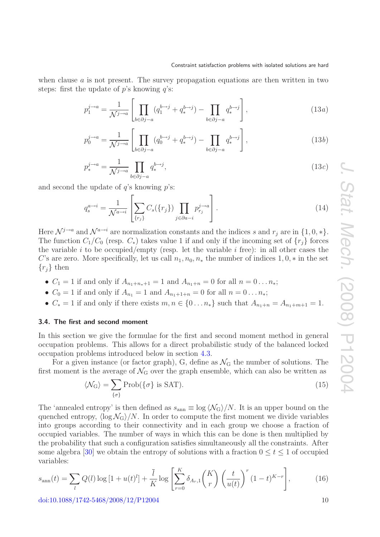when clause  $\alpha$  is not present. The survey propagation equations are then written in two steps: first the update of  $p$ 's knowing  $q$ 's:

<span id="page-9-1"></span>
$$
p_1^{j \to a} = \frac{1}{\mathcal{N}^{j \to a}} \left[ \prod_{b \in \partial j - a} (q_1^{b \to j} + q_*^{b \to j}) - \prod_{b \in \partial j - a} q_*^{b \to j} \right],\tag{13a}
$$

$$
p_0^{j \to a} = \frac{1}{\mathcal{N}^{j \to a}} \left[ \prod_{b \in \partial j - a} (q_0^{b \to j} + q_*^{b \to j}) - \prod_{b \in \partial j - a} q_*^{b \to j} \right],\tag{13b}
$$

$$
p_*^{j \to a} = \frac{1}{\mathcal{N}^{j \to a}} \prod_{b \in \partial j - a} q_*^{b \to j},\tag{13c}
$$

and second the update of  $q$ 's knowing  $p$ 's:

<span id="page-9-2"></span>
$$
q_s^{a \to i} = \frac{1}{\mathcal{N}^{a \to i}} \left[ \sum_{\{r_j\}} C_s(\{r_j\}) \prod_{j \in \partial a - i} p_{r_j}^{j \to a} \right]. \tag{14}
$$

Here  $\mathcal{N}^{j\rightarrow a}$  and  $\mathcal{N}^{a\rightarrow i}$  are normalization constants and the indices s and  $r_j$  are in  $\{1,0,*\}$ . The function  $C_1/C_0$  (resp.  $C_*$ ) takes value 1 if and only if the incoming set of  $\{r_i\}$  forces the variable i to be occupied/empty (resp. let the variable i free): in all other cases the C's are zero. More specifically, let us call  $n_1, n_0, n_*$  the number of indices 1, 0,  $*$  in the set  ${r_i}$  then

- $C_1 = 1$  if and only if  $A_{n_1+n_*+1} = 1$  and  $A_{n_1+n} = 0$  for all  $n = 0 \ldots n_*$ ;
- $C_0 = 1$  if and only if  $A_{n_1} = 1$  and  $A_{n_1+1+n} = 0$  for all  $n = 0 \ldots n_*$ ;
- $C_* = 1$  if and only if there exists  $m, n \in \{0 \dots n_*\}$  such that  $A_{n_1+n} = A_{n_1+m+1} = 1$ .

## <span id="page-9-0"></span>**3.4. The first and second moment**

In this section we give the formulae for the first and second moment method in general occupation problems. This allows for a direct probabilistic study of the balanced locked occupation problems introduced below in section [4.3.](#page-14-0)

For a given instance (or factor graph), G, define as  $\mathcal{N}_{\rm G}$  the number of solutions. The first moment is the average of  $\mathcal{N}_{G}$  over the graph ensemble, which can also be written as

$$
\langle \mathcal{N}_{G} \rangle = \sum_{\{\sigma\}} \text{Prob}(\{\sigma\} \text{ is SAT}). \tag{15}
$$

The 'annealed entropy' is then defined as  $s_{ann} \equiv \log \langle N_{\rm G} \rangle/N$ . It is an upper bound on the quenched entropy,  $\langle \log N_{\rm G} \rangle/N$ . In order to compute the first moment we divide variables into groups according to their connectivity and in each group we choose a fraction of occupied variables. The number of ways in which this can be done is then multiplied by the probability that such a configuration satisfies simultaneously all the constraints. After some algebra [\[30\]](#page-26-26) we obtain the entropy of solutions with a fraction  $0 \le t \le 1$  of occupied variables:

<span id="page-9-3"></span>
$$
s_{\rm ann}(t) = \sum_{l} Q(l) \log\left[1 + u(t)^{l}\right] + \frac{\bar{l}}{K} \log\left[\sum_{r=0}^{K} \delta_{A_r,1} \binom{K}{r} \left(\frac{t}{u(t)}\right)^r (1-t)^{K-r}\right],\tag{16}
$$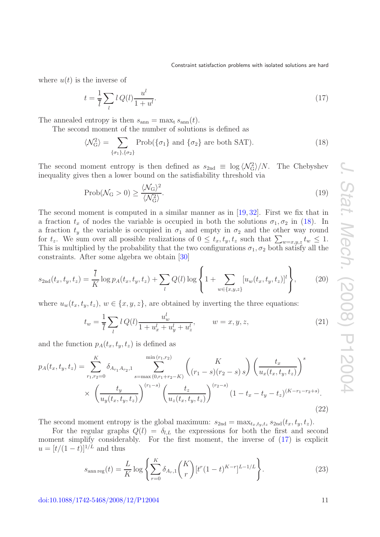where  $u(t)$  is the inverse of

<span id="page-10-1"></span>
$$
t = \frac{1}{l} \sum_{l} l \, Q(l) \frac{u^l}{1 + u^l}.\tag{17}
$$

The annealed entropy is then  $s_{\text{ann}} = \max_{t} s_{\text{ann}}(t)$ .

The second moment of the number of solutions is defined as

<span id="page-10-0"></span>
$$
\langle \mathcal{N}_{\mathcal{G}}^2 \rangle = \sum_{\{\sigma_1\}, \{\sigma_2\}} \operatorname{Prob}(\{\sigma_1\} \text{ and } \{\sigma_2\} \text{ are both SAT}). \tag{18}
$$

The second moment entropy is then defined as  $s_{2nd} \equiv \log \langle \mathcal{N}_{\rm G}^2 \rangle/N$ . The Chebyshev inequality gives then a lower bound on the satisfiability threshold via

<span id="page-10-4"></span>
$$
\text{Prob}(\mathcal{N}_G > 0) \ge \frac{\langle \mathcal{N}_G \rangle^2}{\langle \mathcal{N}_G^2 \rangle}.
$$
\n(19)

The second moment is computed in a similar manner as in  $[19, 32]$  $[19, 32]$  $[19, 32]$ . First we fix that in a fraction  $t_x$  of nodes the variable is occupied in both the solutions  $\sigma_1, \sigma_2$  in [\(18\)](#page-10-0). In a fraction  $t<sub>y</sub>$  the variable is occupied in  $\sigma<sub>1</sub>$  and empty in  $\sigma<sub>2</sub>$  and the other way round for  $t_z$ . We sum over all possible realizations of  $0 \le t_x, t_y, t_z$  such that  $\sum_{w=x,y,z} t_w \le 1$ . This is multiplied by the probability that the two configurations  $\sigma_1, \sigma_2$  both satisfy all the constraints. After some algebra we obtain [\[30\]](#page-26-26)

$$
s_{2\text{nd}}(t_x, t_y, t_z) = \frac{\bar{l}}{K} \log p_A(t_x, t_y, t_z) + \sum_l Q(l) \log \left\{ 1 + \sum_{w \in \{x, y, z\}} [u_w(t_x, t_y, t_z)]^l \right\},\tag{20}
$$

where  $u_w(t_x, t_y, t_z)$ ,  $w \in \{x, y, z\}$ , are obtained by inverting the three equations:

<span id="page-10-3"></span><span id="page-10-2"></span>
$$
t_w = \frac{1}{l} \sum_{l} l \, Q(l) \frac{u_w^l}{1 + u_x^l + u_y^l + u_z^l}, \qquad w = x, y, z,
$$
\n<sup>(21)</sup>

and the function  $p_A(t_x, t_y, t_z)$  is defined as

$$
p_A(t_x, t_y, t_z) = \sum_{r_1, r_2=0}^{K} \delta_{A_{r_1} A_{r_2}, 1} \sum_{s=\max(0, r_1+r_2-K)}^{\min(r_1, r_2)} \left( \frac{K}{(r_1 - s)(r_2 - s)} s \right) \left( \frac{t_x}{u_x(t_x, t_y, t_z)} \right)^s
$$

$$
\times \left( \frac{t_y}{u_y(t_x, t_y, t_z)} \right)^{(r_1 - s)} \left( \frac{t_z}{u_z(t_x, t_y, t_z)} \right)^{(r_2 - s)} (1 - t_x - t_y - t_z)^{(K - r_1 - r_2 + s)}.
$$
(22)

The second moment entropy is the global maximum:  $s_{2nd} = \max_{t_x, t_y, t_z} s_{2nd}(t_x, t_y, t_z)$ .

For the regular graphs  $Q(l) = \delta_{l,L}$  the expressions for both the first and second moment simplify considerably. For the first moment, the inverse of [\(17\)](#page-10-1) is explicit  $u = [t/(1-t)]^{1/L}$  and thus

$$
s_{\text{ann reg}}(t) = \frac{L}{K} \log \left\{ \sum_{r=0}^{K} \delta_{A_r,1} {K \choose r} [t^r (1-t)^{K-r}]^{L-1/L} \right\}.
$$
 (23)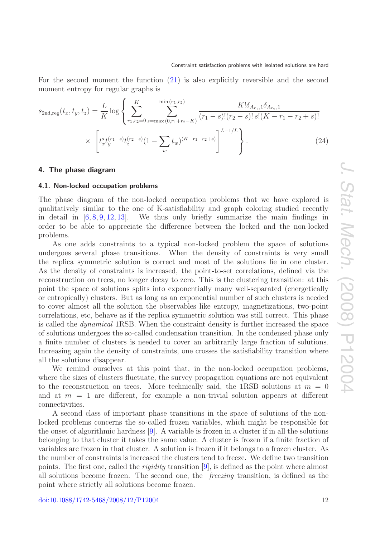For the second moment the function [\(21\)](#page-10-2) is also explicitly reversible and the second moment entropy for regular graphs is

$$
s_{2\text{nd},\text{reg}}(t_x, t_y, t_z) = \frac{L}{K} \log \left\{ \sum_{r_1, r_2=0}^{K} \sum_{s=\text{max}(0,r_1+r_2-K)}^{\text{min}(r_1,r_2)} \frac{K! \delta_{A_{r_1,1}} \delta_{A_{r_2,1}}}{(r_1 - s)!(r_2 - s)! s!(K - r_1 - r_2 + s)!} \right\}
$$

$$
\times \left[ t_x^s t_y^{(r_1 - s)} t_z^{(r_2 - s)} (1 - \sum_w t_w)^{(K - r_1 - r_2 + s)} \right]^{L - 1/L} \right\}.
$$
 (24)

## <span id="page-11-0"></span>**4. The phase diagram**

#### <span id="page-11-1"></span>**4.1. Non-locked occupation problems**

The phase diagram of the non-locked occupation problems that we have explored is qualitatively similar to the one of K-satisfiability and graph coloring studied recently in detail in  $[6, 8, 9, 12, 13]$  $[6, 8, 9, 12, 13]$  $[6, 8, 9, 12, 13]$  $[6, 8, 9, 12, 13]$  $[6, 8, 9, 12, 13]$  $[6, 8, 9, 12, 13]$  $[6, 8, 9, 12, 13]$  $[6, 8, 9, 12, 13]$  $[6, 8, 9, 12, 13]$ . We thus only briefly summarize the main findings in order to be able to appreciate the difference between the locked and the non-locked problems.

As one adds constraints to a typical non-locked problem the space of solutions undergoes several phase transitions. When the density of constraints is very small the replica symmetric solution is correct and most of the solutions lie in one cluster. As the density of constraints is increased, the point-to-set correlations, defined via the reconstruction on trees, no longer decay to zero. This is the clustering transition: at this point the space of solutions splits into exponentially many well-separated (energetically or entropically) clusters. But as long as an exponential number of such clusters is needed to cover almost all the solution the observables like entropy, magnetizations, two-point correlations, etc, behave as if the replica symmetric solution was still correct. This phase is called the *dynamical* 1RSB. When the constraint density is further increased the space of solutions undergoes the so-called condensation transition. In the condensed phase only a finite number of clusters is needed to cover an arbitrarily large fraction of solutions. Increasing again the density of constraints, one crosses the satisfiability transition where all the solutions disappear.

We remind ourselves at this point that, in the non-locked occupation problems, where the sizes of clusters fluctuate, the survey propagation equations are not equivalent to the reconstruction on trees. More technically said, the 1RSB solutions at  $m = 0$ and at  $m = 1$  are different, for example a non-trivial solution appears at different connectivities.

A second class of important phase transitions in the space of solutions of the nonlocked problems concerns the so-called frozen variables, which might be responsible for the onset of algorithmic hardness [\[9\]](#page-26-6). A variable is frozen in a cluster if in all the solutions belonging to that cluster it takes the same value. A cluster is frozen if a finite fraction of variables are frozen in that cluster. A solution is frozen if it belongs to a frozen cluster. As the number of constraints is increased the clusters tend to freeze. We define two transition points. The first one, called the *rigidity* transition [\[9\]](#page-26-6), is defined as the point where almost all solutions become frozen. The second one, the *freezing* transition, is defined as the point where strictly all solutions become frozen.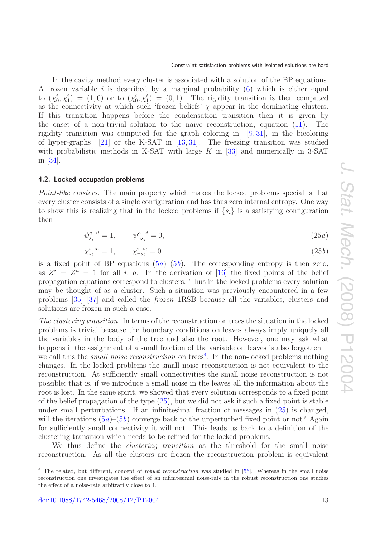In the cavity method every cluster is associated with a solution of the BP equations. A frozen variable i is described by a marginal probability  $(6)$  which is either equal to  $(\chi_0^i, \chi_1^i) = (1, 0)$  or to  $(\chi_0^i, \chi_1^i) = (0, 1)$ . The rigidity transition is then computed as the connectivity at which such 'frozen beliefs'  $\chi$  appear in the dominating clusters. If this transition happens before the condensation transition then it is given by the onset of a non-trivial solution to the naive reconstruction, equation [\(11\)](#page-8-1). The rigidity transition was computed for the graph coloring in  $[9, 31]$  $[9, 31]$  $[9, 31]$ , in the bicoloring of hyper-graphs [\[21\]](#page-26-16) or the K-SAT in [\[13,](#page-26-9) [31\]](#page-26-27). The freezing transition was studied with probabilistic methods in K-SAT with large  $K$  in [\[33\]](#page-26-29) and numerically in 3-SAT in [\[34\]](#page-26-30).

## <span id="page-12-0"></span>**4.2. Locked occupation problems**

*Point-like clusters*. The main property which makes the locked problems special is that every cluster consists of a single configuration and has thus zero internal entropy. One way to show this is realizing that in the locked problems if  $\{s_i\}$  is a satisfying configuration then

<span id="page-12-2"></span>
$$
\psi_{s_i}^{a \to i} = 1, \qquad \psi_{\neg s_i}^{a \to i} = 0,\tag{25a}
$$

$$
\chi_{s_i}^{i \to a} = 1, \qquad \chi_{\neg s_i}^{i \to a} = 0 \tag{25b}
$$

is a fixed point of BP equations  $(5a)-(5b)$  $(5a)-(5b)$ . The corresponding entropy is then zero, as  $Z^i = Z^a = 1$  for all i, a. In the derivation of [\[16\]](#page-26-12) the fixed points of the belief propagation equations correspond to clusters. Thus in the locked problems every solution may be thought of as a cluster. Such a situation was previously encountered in a few problems [\[35\]](#page-26-31)–[\[37\]](#page-26-32) and called the *frozen* 1RSB because all the variables, clusters and solutions are frozen in such a case.

*The clustering transition*. In terms of the reconstruction on trees the situation in the locked problems is trivial because the boundary conditions on leaves always imply uniquely all the variables in the body of the tree and also the root. However, one may ask what happens if the assignment of a small fraction of the variable on leaves is also forgotten we call this the *small noise reconstruction* on trees<sup>[4](#page-12-1)</sup>. In the non-locked problems nothing changes. In the locked problems the small noise reconstruction is not equivalent to the reconstruction. At sufficiently small connectivities the small noise reconstruction is not possible; that is, if we introduce a small noise in the leaves all the information about the root is lost. In the same spirit, we showed that every solution corresponds to a fixed point of the belief propagation of the type [\(25\)](#page-12-2), but we did not ask if such a fixed point is stable under small perturbations. If an infinitesimal fraction of messages in [\(25\)](#page-12-2) is changed, will the iterations  $(5a)-(5b)$  $(5a)-(5b)$  converge back to the unperturbed fixed point or not? Again for sufficiently small connectivity it will not. This leads us back to a definition of the clustering transition which needs to be refined for the locked problems.

We thus define the *clustering transition* as the threshold for the small noise reconstruction. As all the clusters are frozen the reconstruction problem is equivalent

<span id="page-12-1"></span><sup>4</sup> The related, but different, concept of *robust reconstruction* was studied in [\[56\]](#page-27-0). Whereas in the small noise reconstruction one investigates the effect of an infinitesimal noise-rate in the robust reconstruction one studies the effect of a noise-rate arbitrarily close to 1.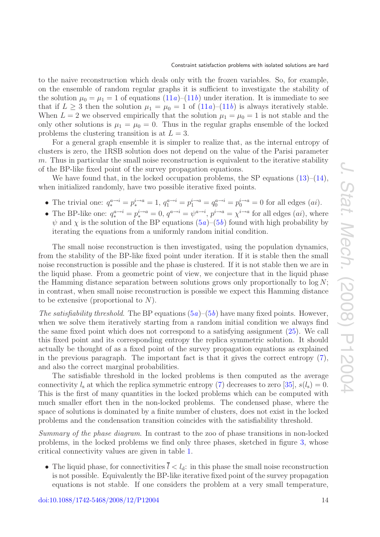to the naive reconstruction which deals only with the frozen variables. So, for example, on the ensemble of random regular graphs it is sufficient to investigate the stability of the solution  $\mu_0 = \mu_1 = 1$  of equations  $(11a)$  $(11a)$ – $(11b)$  under iteration. It is immediate to see that if  $L \geq 3$  then the solution  $\mu_1 = \mu_0 = 1$  of  $(11a)$  $(11a)$ – $(11b)$  is always iteratively stable. When  $L = 2$  we observed empirically that the solution  $\mu_1 = \mu_0 = 1$  is not stable and the only other solutions is  $\mu_1 = \mu_0 = 0$ . Thus in the regular graphs ensemble of the locked problems the clustering transition is at  $L = 3$ .

For a general graph ensemble it is simpler to realize that, as the internal entropy of clusters is zero, the 1RSB solution does not depend on the value of the Parisi parameter m. Thus in particular the small noise reconstruction is equivalent to the iterative stability of the BP-like fixed point of the survey propagation equations.

We have found that, in the locked occupation problems, the SP equations  $(13)–(14)$  $(13)–(14)$  $(13)–(14)$ , when initialized randomly, have two possible iterative fixed points.

- The trivial one:  $q_*^{a \to i} = p_*^{i \to a} = 1$ ,  $q_1^{a \to i} = p_1^{i \to a} = q_0^{a \to i} = p_0^{i \to a} = 0$  for all edges  $(ai)$ .
- The BP-like one:  $q_*^{a\to i} = p_*^{i\to a} = 0$ ,  $q^{a\to i} = \psi^{a\to i}$ ,  $p^{i\to a} = \chi^{i\to a}$  for all edges  $(ai)$ , where  $\psi$  and  $\chi$  is the solution of the BP equations  $(5a)-(5b)$  $(5a)-(5b)$  found with high probability by iterating the equations from a uniformly random initial condition.

The small noise reconstruction is then investigated, using the population dynamics, from the stability of the BP-like fixed point under iteration. If it is stable then the small noise reconstruction is possible and the phase is clustered. If it is not stable then we are in the liquid phase. From a geometric point of view, we conjecture that in the liquid phase the Hamming distance separation between solutions grows only proportionally to  $\log N$ ; in contrast, when small noise reconstruction is possible we expect this Hamming distance to be extensive (proportional to N).

*The satisfiability threshold.* The BP equations  $(5a)$  $(5a)$ – $(5b)$  have many fixed points. However, when we solve them iteratively starting from a random initial condition we always find the same fixed point which does not correspond to a satisfying assignment [\(25\)](#page-12-2). We call this fixed point and its corresponding entropy the replica symmetric solution. It should actually be thought of as a fixed point of the survey propagation equations as explained in the previous paragraph. The important fact is that it gives the correct entropy [\(7\)](#page-6-5), and also the correct marginal probabilities.

The satisfiable threshold in the locked problems is then computed as the average connectivity  $l_s$  at which the replica symmetric entropy [\(7\)](#page-6-5) decreases to zero [\[35\]](#page-26-31),  $s(l_s) = 0$ . This is the first of many quantities in the locked problems which can be computed with much smaller effort then in the non-locked problems. The condensed phase, where the space of solutions is dominated by a finite number of clusters, does not exist in the locked problems and the condensation transition coincides with the satisfiability threshold.

*Summary of the phase diagram*. In contrast to the zoo of phase transitions in non-locked problems, in the locked problems we find only three phases, sketched in figure [3,](#page-14-1) whose critical connectivity values are given in table [1.](#page-15-0)

• The liquid phase, for connectivities  $\overline{l} < l_d$ : in this phase the small noise reconstruction is not possible. Equivalently the BP-like iterative fixed point of the survey propagation equations is not stable. If one considers the problem at a very small temperature,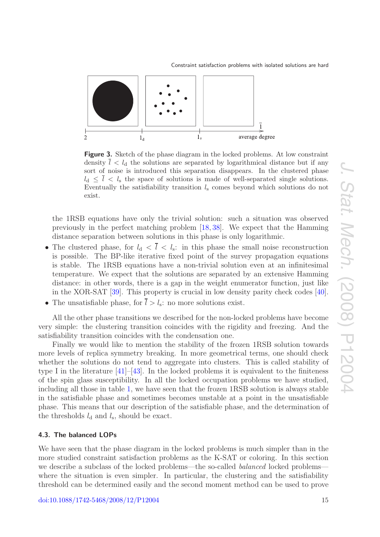

<span id="page-14-1"></span>

**Figure 3.** Sketch of the phase diagram in the locked problems. At low constraint density  $\overline{l}$  <  $l_d$  the solutions are separated by logarithmical distance but if any sort of noise is introduced this separation disappears. In the clustered phase  $l_d \leq \overline{l} < l_s$  the space of solutions is made of well-separated single solutions. Eventually the satisfiability transition  $l_s$  comes beyond which solutions do not exist.

the 1RSB equations have only the trivial solution: such a situation was observed previously in the perfect matching problem [\[18,](#page-26-14) [38\]](#page-26-33). We expect that the Hamming distance separation between solutions in this phase is only logarithmic.

- The clustered phase, for  $l_d < \overline{l} < l_s$ : in this phase the small noise reconstruction is possible. The BP-like iterative fixed point of the survey propagation equations is stable. The 1RSB equations have a non-trivial solution even at an infinitesimal temperature. We expect that the solutions are separated by an extensive Hamming distance: in other words, there is a gap in the weight enumerator function, just like in the XOR-SAT [\[39\]](#page-26-34). This property is crucial in low density parity check codes [\[40\]](#page-26-35).
- The unsatisfiable phase, for  $\overline{l} > l_s$ : no more solutions exist.

All the other phase transitions we described for the non-locked problems have become very simple: the clustering transition coincides with the rigidity and freezing. And the satisfiability transition coincides with the condensation one.

Finally we would like to mention the stability of the frozen 1RSB solution towards more levels of replica symmetry breaking. In more geometrical terms, one should check whether the solutions do not tend to aggregate into clusters. This is called stability of type I in the literature  $[41]$ – $[43]$ . In the locked problems it is equivalent to the finiteness of the spin glass susceptibility. In all the locked occupation problems we have studied, including all those in table [1,](#page-15-0) we have seen that the frozen 1RSB solution is always stable in the satisfiable phase and sometimes becomes unstable at a point in the unsatisfiable phase. This means that our description of the satisfiable phase, and the determination of the thresholds  $l_{d}$  and  $l_{s}$ , should be exact.

# <span id="page-14-0"></span>**4.3. The balanced LOPs**

We have seen that the phase diagram in the locked problems is much simpler than in the more studied constraint satisfaction problems as the K-SAT or coloring. In this section we describe a subclass of the locked problems—the so-called *balanced* locked problems where the situation is even simpler. In particular, the clustering and the satisfiability threshold can be determined easily and the second moment method can be used to prove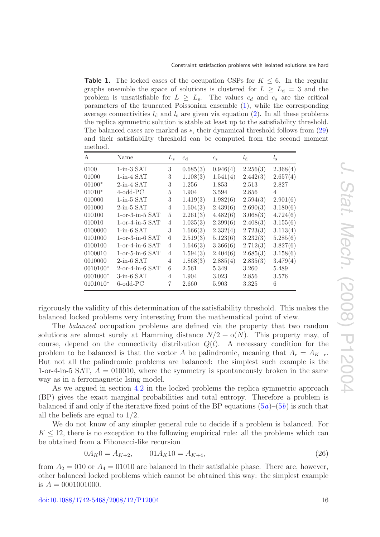<span id="page-15-0"></span>**Table 1.** The locked cases of the occupation CSPs for  $K \leq 6$ . In the regular graphs ensemble the space of solutions is clustered for  $L \geq L_d = 3$  and the problem is unsatisfiable for  $L \geq L_s$ . The values  $c_d$  and  $c_s$  are the critical parameters of the truncated Poissonian ensemble [\(1\)](#page-5-1), while the corresponding average connectivities  $l_d$  and  $l_s$  are given via equation [\(2\)](#page-5-2). In all these problems the replica symmetric solution is stable at least up to the satisfiability threshold. The balanced cases are marked as ∗, their dynamical threshold follows from [\(29\)](#page-16-0) and their satisfiability threshold can be computed from the second moment method.

| $\mathbf{A}$ | Name                                                 | $L_{\rm s}$ | $c_{\rm d}$ | $c_{s}$  | $l_{\rm d}$ | $l_{\rm s}$ |
|--------------|------------------------------------------------------|-------------|-------------|----------|-------------|-------------|
| 0100         | $1$ -in- $3$ $SAT$                                   | 3           | 0.685(3)    | 0.946(4) | 2.256(3)    | 2.368(4)    |
| 01000        | $1$ -in- $4$ $SAT$                                   | 3           | 1.108(3)    | 1.541(4) | 2.442(3)    | 2.657(4)    |
| $00100*$     | $2$ -in-4 SAT                                        | 3           | 1.256       | 1.853    | 2.513       | 2.827       |
| $01010*$     | $4$ -odd-PC                                          | 5           | 1.904       | 3.594    | 2.856       | 4           |
| 010000       | $1$ -in- $5$ $SAT$                                   | 3           | 1.419(3)    | 1.982(6) | 2.594(3)    | 2.901(6)    |
| 001000       | $2$ -in- $5$ $SAT$                                   | 4           | 1.604(3)    | 2.439(6) | 2.690(3)    | 3.180(6)    |
| 010100       | $1-$ or-3-in- $5$ $SAT$                              | 5           | 2.261(3)    | 4.482(6) | 3.068(3)    | 4.724(6)    |
| 010010       | $1$ -or-4-in-5 $SAT$                                 | 4           | 1.035(3)    | 2.399(6) | 2.408(3)    | 3.155(6)    |
| 0100000      | $1$ -in- $6$ $SAT$                                   | 3           | 1.666(3)    | 2.332(4) | 2.723(3)    | 3.113(4)    |
| 0101000      | $1$ -or-3-in-6 SAT                                   | 6           | 2.519(3)    | 5.123(6) | 3.232(3)    | 5.285(6)    |
| 0100100      | $1$ -or-4-in-6 SAT                                   | 4           | 1.646(3)    | 3.366(6) | 2.712(3)    | 3.827(6)    |
| 0100010      | $1$ -or-5-in-6 SAT                                   | 4           | 1.594(3)    | 2.404(6) | 2.685(3)    | 3.158(6)    |
| 0010000      | $2$ -in-6 SAT                                        | 4           | 1.868(3)    | 2.885(4) | 2.835(3)    | 3.479(4)    |
| $0010100*$   | $2\text{-}or\text{-}4\text{-}in\text{-}6\text{ SAT}$ | 6           | 2.561       | 5.349    | 3.260       | 5.489       |
| 0001000*     | $3$ -in- $6$ $SAT$                                   | 4           | 1.904       | 3.023    | 2.856       | 3.576       |
| $0101010*$   | $6$ -odd-PC                                          | 7           | 2.660       | 5.903    | 3.325       | 6           |

rigorously the validity of this determination of the satisfiability threshold. This makes the balanced locked problems very interesting from the mathematical point of view.

The *balanced* occupation problems are defined via the property that two random solutions are almost surely at Hamming distance  $N/2 + o(N)$ . This property may, of course, depend on the connectivity distribution  $Q(l)$ . A necessary condition for the problem to be balanced is that the vector A be palindromic, meaning that  $A_r = A_{K-r}$ . But not all the palindromic problems are balanced: the simplest such example is the 1-or-4-in-5 SAT,  $A = 010010$ , where the symmetry is spontaneously broken in the same way as in a ferromagnetic Ising model.

As we argued in section [4.2](#page-12-0) in the locked problems the replica symmetric approach (BP) gives the exact marginal probabilities and total entropy. Therefore a problem is balanced if and only if the iterative fixed point of the BP equations [\(5](#page-6-1)*a*)–[\(5](#page-6-2)*b*) is such that all the beliefs are equal to 1/2.

We do not know of any simpler general rule to decide if a problem is balanced. For  $K \leq 12$ , there is no exception to the following empirical rule: all the problems which can be obtained from a Fibonacci-like recursion

$$
0A_K0 = A_{K+2}, \qquad 01A_K10 = A_{K+4}, \tag{26}
$$

from  $A_2 = 010$  or  $A_4 = 01010$  are balanced in their satisfiable phase. There are, however, other balanced locked problems which cannot be obtained this way: the simplest example is  $A = 0001001000$ .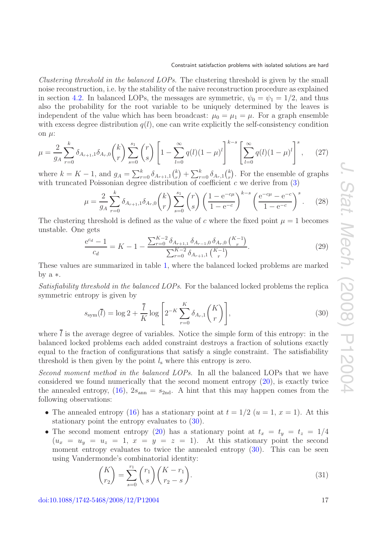*Clustering threshold in the balanced LOPs*. The clustering threshold is given by the small noise reconstruction, i.e. by the stability of the naive reconstruction procedure as explained in section [4.2.](#page-12-0) In balanced LOPs, the messages are symmetric,  $\psi_0 = \psi_1 = 1/2$ , and thus also the probability for the root variable to be uniquely determined by the leaves is independent of the value which has been broadcast:  $\mu_0 = \mu_1 = \mu$ . For a graph ensemble with excess degree distribution  $q(l)$ , one can write explicitly the self-consistency condition on  $\mu$ :

$$
\mu = \frac{2}{g_A} \sum_{r=0}^{k} \delta_{A_{r+1},1} \delta_{A_r,0} {k \choose r} \sum_{s=0}^{s_1} {r \choose s} \left[ 1 - \sum_{l=0}^{\infty} q(l)(1-\mu)^l \right]^{k-s} \left[ \sum_{l=0}^{\infty} q(l)(1-\mu)^l \right]^s, \tag{27}
$$

where  $k = K - 1$ , and  $g_A = \sum_{r=0}^k \delta_{A_{r+1},1} {k \choose r} + \sum_{r=0}^k \delta_{A_r,1} {k \choose r}$ . For the ensemble of graphs with truncated Poissonian degree distribution of coefficient  $c$  we derive from  $(3)$ 

$$
\mu = \frac{2}{g_A} \sum_{r=0}^{k} \delta_{A_{r+1},1} \delta_{A_r,0} {k \choose r} \sum_{s=0}^{s_1} {r \choose s} \left(\frac{1 - e^{-c\mu}}{1 - e^{-c}}\right)^{k-s} \left(\frac{e^{-c\mu} - e^{-c}}{1 - e^{-c}}\right)^s. \tag{28}
$$

The clustering threshold is defined as the value of c where the fixed point  $\mu = 1$  becomes unstable. One gets

<span id="page-16-0"></span>
$$
\frac{e^{c_d} - 1}{c_d} = K - 1 - \frac{\sum_{r=0}^{K-2} \delta_{A_{r+1,1}} \delta_{A_{r-1,0}} \delta_{A_r,0} \binom{K-1}{r}}{\sum_{r=0}^{K-2} \delta_{A_{r+1,1}} \binom{K-1}{r}}.
$$
(29)

These values are summarized in table [1,](#page-15-0) where the balanced locked problems are marked by a ∗.

*Satisfiability threshold in the balanced LOPs*. For the balanced locked problems the replica symmetric entropy is given by

<span id="page-16-1"></span>
$$
s_{\rm sym}(\bar{l}) = \log 2 + \frac{\bar{l}}{K} \log \left[ 2^{-K} \sum_{r=0}^{K} \delta_{A_r,1} {K \choose r} \right],
$$
\n(30)

where  $\overline{l}$  is the average degree of variables. Notice the simple form of this entropy: in the balanced locked problems each added constraint destroys a fraction of solutions exactly equal to the fraction of configurations that satisfy a single constraint. The satisfiability threshold is then given by the point  $l_s$  where this entropy is zero.

*Second moment method in the balanced LOPs*. In all the balanced LOPs that we have considered we found numerically that the second moment entropy [\(20\)](#page-10-3), is exactly twice the annealed entropy, [\(16\)](#page-9-3),  $2s_{\text{ann}} = s_{\text{2nd}}$ . A hint that this may happen comes from the following observations:

- The annealed entropy [\(16\)](#page-9-3) has a stationary point at  $t = 1/2$   $(u = 1, x = 1)$ . At this stationary point the entropy evaluates to [\(30\)](#page-16-1).
- The second moment entropy [\(20\)](#page-10-3) has a stationary point at  $t_x = t_y = t_z = 1/4$  $(u_x = u_y = u_z = 1, x = y = z = 1).$  At this stationary point the second moment entropy evaluates to twice the annealed entropy  $(30)$ . This can be seen using Vandermonde's combinatorial identity:

$$
\binom{K}{r_2} = \sum_{s=0}^{r_1} \binom{r_1}{s} \binom{K-r_1}{r_2-s}.
$$
\n(31)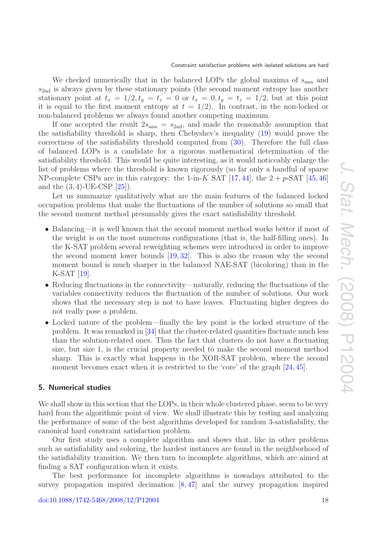We checked numerically that in the balanced LOPs the global maxima of  $s_{\text{ann}}$  and  $s_{2nd}$  is always given by these stationary points (the second moment entropy has another stationary point at  $t_x = 1/2$ ,  $t_y = t_z = 0$  or  $t_x = 0$ ,  $t_y = t_z = 1/2$ , but at this point it is equal to the first moment entropy at  $t = 1/2$ ). In contrast, in the non-locked or non-balanced problems we always found another competing maximum.

If one accepted the result  $2s_{\text{ann}} = s_{\text{2nd}}$ , and made the reasonable assumption that the satisfiability threshold is sharp, then Chebyshev's inequality [\(19\)](#page-10-4) would prove the correctness of the satisfiability threshold computed from [\(30\)](#page-16-1). Therefore the full class of balanced LOPs is a candidate for a rigorous mathematical determination of the satisfiability threshold. This would be quite interesting, as it would noticeably enlarge the list of problems where the threshold is known rigorously (so far only a handful of sparse NP-complete CSPs are in this category: the 1-in-K SAT [\[17,](#page-26-13) [44\]](#page-26-38), the  $2 + p$ -SAT [\[45,](#page-26-39) [46\]](#page-26-40) and the  $(3, 4)$ -UE-CSP  $[25]$ ).

Let us summarize qualitatively what are the main features of the balanced locked occupation problems that make the fluctuations of the number of solutions so small that the second moment method presumably gives the exact satisfiability threshold.

- Balancing—it is well known that the second moment method works better if most of the weight is on the most numerous configurations (that is, the half-filling ones). In the K-SAT problem several reweighting schemes were introduced in order to improve the second moment lower bounds [\[19,](#page-26-15) [32\]](#page-26-28). This is also the reason why the second moment bound is much sharper in the balanced NAE-SAT (bicoloring) than in the K-SAT [\[19\]](#page-26-15).
- Reducing fluctuations in the connectivity—naturally, reducing the fluctuations of the variables connectivity reduces the fluctuation of the number of solutions. Our work shows that the necessary step is not to have leaves. Fluctuating higher degrees do not really pose a problem.
- Locked nature of the problem—finally the key point is the locked structure of the problem. It was remarked in [\[34\]](#page-26-30) that the cluster-related quantities fluctuate much less than the solution-related ones. Thus the fact that clusters do not have a fluctuating size, but size 1, is the crucial property needed to make the second moment method sharp. This is exactly what happens in the XOR-SAT problem, where the second moment becomes exact when it is restricted to the 'core' of the graph [\[24,](#page-26-19) [45\]](#page-26-39).

## <span id="page-17-0"></span>**5. Numerical studies**

We shall show in this section that the LOPs, in their whole clustered phase, seem to be very hard from the algorithmic point of view. We shall illustrate this by testing and analyzing the performance of some of the best algorithms developed for random 3-satisfiability, the canonical hard constraint satisfaction problem.

Our first study uses a complete algorithm and shows that, like in other problems such as satisfiability and coloring, the hardest instances are found in the neighborhood of the satisfiability transition. We then turn to incomplete algorithms, which are aimed at finding a SAT configuration when it exists.

The best performance for incomplete algorithms is nowadays attributed to the survey propagation inspired decimation [\[8,](#page-26-5) [47\]](#page-26-41) and the survey propagation inspired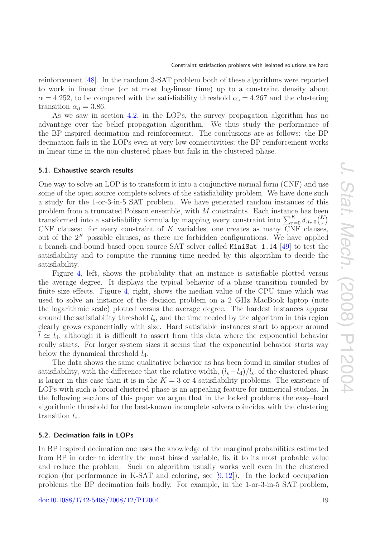reinforcement [\[48\]](#page-26-42). In the random 3-SAT problem both of these algorithms were reported to work in linear time (or at most log-linear time) up to a constraint density about  $\alpha = 4.252$ , to be compared with the satisfiability threshold  $\alpha_s = 4.267$  and the clustering transition  $\alpha_d = 3.86$ .

As we saw in section [4.2,](#page-12-0) in the LOPs, the survey propagation algorithm has no advantage over the belief propagation algorithm. We thus study the performance of the BP inspired decimation and reinforcement. The conclusions are as follows: the BP decimation fails in the LOPs even at very low connectivities; the BP reinforcement works in linear time in the non-clustered phase but fails in the clustered phase.

## <span id="page-18-0"></span>**5.1. Exhaustive search results**

One way to solve an LOP is to transform it into a conjunctive normal form (CNF) and use some of the open source complete solvers of the satisfiability problem. We have done such a study for the 1-or-3-in-5 SAT problem. We have generated random instances of this problem from a truncated Poisson ensemble, with M constraints. Each instance has been transformed into a satisfiability formula by mapping every constraint into  $\sum_{r=0}^{K} \delta_{A_r,0} {K \choose r}$ CNF clauses: for every constraint of  $K$  variables, one creates as many CNF clauses, out of the  $2<sup>K</sup>$  possible clauses, as there are forbidden configurations. We have applied a branch-and-bound based open source SAT solver called MiniSat 1.14 [\[49\]](#page-26-43) to test the satisfiability and to compute the running time needed by this algorithm to decide the satisfiability.

Figure [4,](#page-19-0) left, shows the probability that an instance is satisfiable plotted versus the average degree. It displays the typical behavior of a phase transition rounded by finite size effects. Figure [4,](#page-19-0) right, shows the median value of the CPU time which was used to solve an instance of the decision problem on a 2 GHz MacBook laptop (note the logarithmic scale) plotted versus the average degree. The hardest instances appear around the satisfiability threshold  $l_s$ , and the time needed by the algorithm in this region clearly grows exponentially with size. Hard satisfiable instances start to appear around  $l \simeq l_d$ , although it is difficult to assert from this data where the exponential behavior really starts. For larger system sizes it seems that the exponential behavior starts way below the dynamical threshold  $l_{d}$ .

The data shows the same qualitative behavior as has been found in similar studies of satisfiability, with the difference that the relative width,  $(l_s - l_d)/l_s$ , of the clustered phase is larger in this case than it is in the  $K = 3$  or 4 satisfiability problems. The existence of LOPs with such a broad clustered phase is an appealing feature for numerical studies. In the following sections of this paper we argue that in the locked problems the easy–hard algorithmic threshold for the best-known incomplete solvers coincides with the clustering transition  $l_{d}$ .

# <span id="page-18-1"></span>**5.2. Decimation fails in LOPs**

In BP inspired decimation one uses the knowledge of the marginal probabilities estimated from BP in order to identify the most biased variable, fix it to its most probable value and reduce the problem. Such an algorithm usually works well even in the clustered region (for performance in K-SAT and coloring, see [\[9,](#page-26-6) [12\]](#page-26-23)). In the locked occupation problems the BP decimation fails badly. For example, in the 1-or-3-in-5 SAT problem,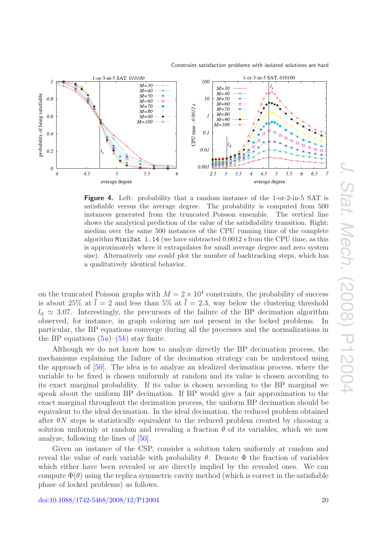

<span id="page-19-0"></span>

**Figure 4.** Left: probability that a random instance of the 1-or-2-in-5 SAT is satisfiable versus the average degree. The probability is computed from 500 instances generated from the truncated Poisson ensemble. The vertical line shows the analytical prediction of the value of the satisfiability transition. Right: median over the same 500 instances of the CPU running time of the complete algorithm MiniSat 1.14 (we have subtracted 0.0012 s from the CPU time, as this is approximately where it extrapolates for small average degree and zero system size). Alternatively one could plot the number of backtracking steps, which has a qualitatively identical behavior.

on the truncated Poisson graphs with  $M = 2 \times 10^4$  constraints, the probability of success is about 25% at  $\overline{l} = 2$  and less than 5% at  $\overline{l} = 2.3$ , way below the clustering threshold  $l_{\rm d} \simeq 3.07$ . Interestingly, the precursors of the failure of the BP decimation algorithm observed, for instance, in graph coloring are not present in the locked problems. In particular, the BP equations converge during all the processes and the normalizations in the BP equations  $(5a)-(5b)$  $(5a)-(5b)$  stay finite.

Although we do not know how to analyze directly the BP decimation process, the mechanisms explaining the failure of the decimation strategy can be understood using the approach of [\[50\]](#page-26-44). The idea is to analyze an idealized decimation process, where the variable to be fixed is chosen uniformly at random and its value is chosen according to its exact marginal probability. If its value is chosen according to the BP marginal we speak about the uniform BP decimation. If BP would give a fair approximation to the exact marginal throughout the decimation process, the uniform BP decimation should be equivalent to the ideal decimation. In the ideal decimation, the reduced problem obtained after  $\theta N$  steps is statistically equivalent to the reduced problem created by choosing a solution uniformly at random and revealing a fraction  $\theta$  of its variables, which we now analyze, following the lines of [\[50\]](#page-26-44).

Given an instance of the CSP, consider a solution taken uniformly at random and reveal the value of each variable with probability  $\theta$ . Denote  $\Phi$  the fraction of variables which either have been revealed or are directly implied by the revealed ones. We can compute  $\Phi(\theta)$  using the replica symmetric cavity method (which is correct in the satisfiable phase of locked problems) as follows.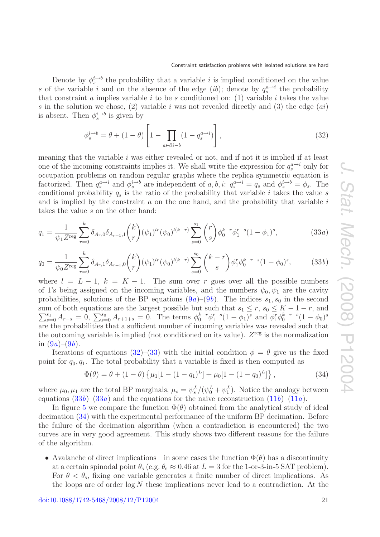Denote by  $\phi_s^{i\to b}$  the probability that a variable i is implied conditioned on the value s of the variable i and on the absence of the edge (ib); denote by  $q_s^{a\rightarrow i}$  the probability that constraint a implies variable  $i$  to be s conditioned on: (1) variable  $i$  takes the value s in the solution we chose, (2) variable i was not revealed directly and (3) the edge  $(ai)$ is absent. Then  $\phi_s^{i\rightarrow b}$  is given by

<span id="page-20-2"></span><span id="page-20-1"></span><span id="page-20-0"></span>
$$
\phi_s^{i \to b} = \theta + (1 - \theta) \left[ 1 - \prod_{a \in \partial i - b} (1 - q_s^{a \to i}) \right],\tag{32}
$$

meaning that the variable i was either revealed or not, and if not it is implied if at least one of the incoming constraints implies it. We shall write the expression for  $q_s^{\alpha \rightarrow i}$  only for occupation problems on random regular graphs where the replica symmetric equation is factorized. Then  $q_s^{a\to i}$  and  $\phi_s^{i\to b}$  are independent of a, b, i:  $q_s^{a\to i} = q_s$  and  $\phi_s^{i\to b} = \phi_s$ . The conditional probability  $q_s$  is the ratio of the probability that variable i takes the value s and is implied by the constraint  $a$  on the one hand, and the probability that variable  $i$ takes the value s on the other hand:

$$
q_1 = \frac{1}{\psi_1 Z^{\text{reg}}} \sum_{r=0}^k \delta_{A_r,0} \delta_{A_{r+1},1} {k \choose r} (\psi_1)^{lr} (\psi_0)^{l(k-r)} \sum_{s=0}^{s_1} {r \choose s} \phi_0^{k-r} \phi_1^{r-s} (1-\phi_1)^s,
$$
(33*a*)

$$
q_0 = \frac{1}{\psi_0 Z^{\text{reg}}} \sum_{r=0}^k \delta_{A_r,1} \delta_{A_{r+1},0} {k \choose r} (\psi_1)^{lr} (\psi_0)^{l(k-r)} \sum_{s=0}^{s_0} {k-r \choose s} \phi_1^r \phi_0^{k-r-s} (1-\phi_0)^s, \tag{33b}
$$

where  $l = L - 1$ ,  $k = K - 1$ . The sum over r goes over all the possible numbers of 1's being assigned on the incoming variables, and the numbers  $\psi_0, \psi_1$  are the cavity probabilities, solutions of the BP equations  $(9a)-(9b)$  $(9a)-(9b)$ . The indices  $s_1, s_0$  in the second sum of both equations are the largest possible but such that  $s_1 \le r$ ,  $s_0 \le K - 1 - r$ , and  $\sum_{s=1}^{s_1} A_s = 0$   $\sum_{s=1}^{s_2} A_s = 0$ . The terms  $s_1^{k-r} s_1^{k-r-s}$   $\sum_{s=1}^{s_1} s_s$  and  $s_1^{k-r-s} s_1^{k-r-s}$  $\sum_{s=0}^{s_1} A_{r-s} = 0$ ,  $\sum_{s=0}^{s_0} A_{r+1+s} = 0$ . The terms  $\phi_0^{k-r} \phi_1^{r-s} (1 - \phi_1)^s$  and  $\phi_1^r \phi_0^{k-r-s} (1 - \phi_0)^s$ are the probabilities that a sufficient number of incoming variables was revealed such that the outcoming variable is implied (not conditioned on its value).  $Z^{\text{reg}}$  is the normalization in  $(9a)-(9b)$  $(9a)-(9b)$ .

Iterations of equations [\(32\)](#page-20-0)–[\(33\)](#page-20-1) with the initial condition  $\phi = \theta$  give us the fixed point for  $q_0, q_1$ . The total probability that a variable is fixed is then computed as

<span id="page-20-3"></span>
$$
\Phi(\theta) = \theta + (1 - \theta) \left\{ \mu_1 [1 - (1 - q_1)^L] + \mu_0 [1 - (1 - q_0)^L] \right\},\tag{34}
$$

where  $\mu_0, \mu_1$  are the total BP marginals,  $\mu_s = \psi_s^L/(\psi_0^L + \psi_1^L)$ . Notice the analogy between equations  $(33b)-(33a)$  $(33b)-(33a)$  and the equations for the naive reconstruction  $(11b)-(11a)$  $(11b)-(11a)$ .

In figure [5](#page-21-1) we compare the function  $\Phi(\theta)$  obtained from the analytical study of ideal decimation [\(34\)](#page-20-3) with the experimental performance of the uniform BP decimation. Before the failure of the decimation algorithm (when a contradiction is encountered) the two curves are in very good agreement. This study shows two different reasons for the failure of the algorithm.

• Avalanche of direct implications—in some cases the function  $\Phi(\theta)$  has a discontinuity at a certain spinodal point  $\theta_s$  (e.g.  $\theta_s \approx 0.46$  at  $L = 3$  for the 1-or-3-in-5 SAT problem). For  $\theta < \theta_s$ , fixing one variable generates a finite number of direct implications. As the loops are of order  $\log N$  these implications never lead to a contradiction. At the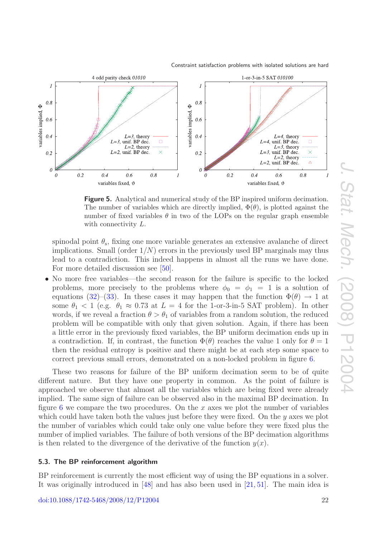

<span id="page-21-1"></span>

**Figure 5.** Analytical and numerical study of the BP inspired uniform decimation. The number of variables which are directly implied,  $\Phi(\theta)$ , is plotted against the number of fixed variables  $\theta$  in two of the LOPs on the regular graph ensemble with connectivity  $L$ .

spinodal point  $\theta_s$ , fixing one more variable generates an extensive avalanche of direct implications. Small (order  $1/N$ ) errors in the previously used BP marginals may thus lead to a contradiction. This indeed happens in almost all the runs we have done. For more detailed discussion see [\[50\]](#page-26-44).

• No more free variables—the second reason for the failure is specific to the locked problems, more precisely to the problems where  $\phi_0 = \phi_1 = 1$  is a solution of equations [\(32\)](#page-20-0)–[\(33\)](#page-20-1). In these cases it may happen that the function  $\Phi(\theta) \to 1$  at some  $\theta_1$  < 1 (e.g.  $\theta_1 \approx 0.73$  at  $L = 4$  for the 1-or-3-in-5 SAT problem). In other words, if we reveal a fraction  $\theta > \theta_1$  of variables from a random solution, the reduced problem will be compatible with only that given solution. Again, if there has been a little error in the previously fixed variables, the BP uniform decimation ends up in a contradiction. If, in contrast, the function  $\Phi(\theta)$  reaches the value 1 only for  $\theta = 1$ then the residual entropy is positive and there might be at each step some space to correct previous small errors, demonstrated on a non-locked problem in figure [6.](#page-22-0)

These two reasons for failure of the BP uniform decimation seem to be of quite different nature. But they have one property in common. As the point of failure is approached we observe that almost all the variables which are being fixed were already implied. The same sign of failure can be observed also in the maximal BP decimation. In figure [6](#page-22-0) we compare the two procedures. On the x axes we plot the number of variables which could have taken both the values just before they were fixed. On the  $y$  axes we plot the number of variables which could take only one value before they were fixed plus the number of implied variables. The failure of both versions of the BP decimation algorithms is then related to the divergence of the derivative of the function  $y(x)$ .

# <span id="page-21-0"></span>**5.3. The BP reinforcement algorithm**

BP reinforcement is currently the most efficient way of using the BP equations in a solver. It was originally introduced in [\[48\]](#page-26-42) and has also been used in [\[21,](#page-26-16) [51\]](#page-26-45). The main idea is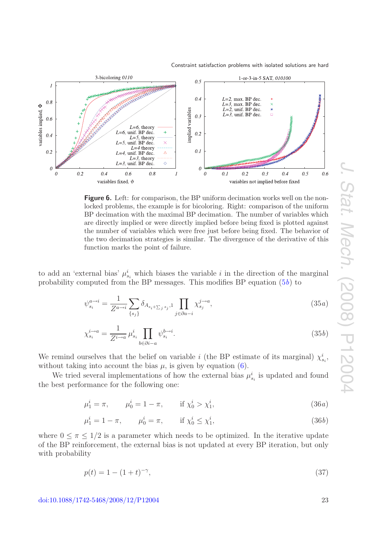<span id="page-22-0"></span>

**Figure 6.** Left: for comparison, the BP uniform decimation works well on the nonlocked problems, the example is for bicoloring. Right: comparison of the uniform BP decimation with the maximal BP decimation. The number of variables which are directly implied or were directly implied before being fixed is plotted against the number of variables which were free just before being fixed. The behavior of the two decimation strategies is similar. The divergence of the derivative of this function marks the point of failure.

to add an 'external bias'  $\mu_{s_i}^i$  which biases the variable i in the direction of the marginal probability computed from the BP messages. This modifies BP equation [\(5](#page-6-2)*b*) to

$$
\psi_{s_i}^{a \to i} = \frac{1}{Z^{a \to i}} \sum_{\{s_j\}} \delta_{A_{s_i} + \sum_j s_j, 1} \prod_{j \in \partial a - i} \chi_{s_j}^{j \to a},\tag{35a}
$$

$$
\chi_{s_i}^{i \to a} = \frac{1}{Z^{i \to a}} \mu_{s_i}^i \prod_{b \in \partial i - a} \psi_{s_i}^{b \to i}.
$$
\n(35*b*)

We remind ourselves that the belief on variable i (the BP estimate of its marginal)  $\chi^i_{s_i}$ , without taking into account the bias  $\mu$ , is given by equation [\(6\)](#page-6-4).

We tried several implementations of how the external bias  $\mu_{s_i}^i$  is updated and found the best performance for the following one:

$$
\mu_1^i = \pi, \qquad \mu_0^i = 1 - \pi, \qquad \text{if } \chi_0^i > \chi_1^i,\tag{36a}
$$

$$
\mu_1^i = 1 - \pi, \qquad \mu_0^i = \pi, \qquad \text{if } \chi_0^i \le \chi_1^i,\tag{36b}
$$

where  $0 \leq \pi \leq 1/2$  is a parameter which needs to be optimized. In the iterative update of the BP reinforcement, the external bias is not updated at every BP iteration, but only with probability

$$
p(t) = 1 - (1+t)^{-\gamma},\tag{37}
$$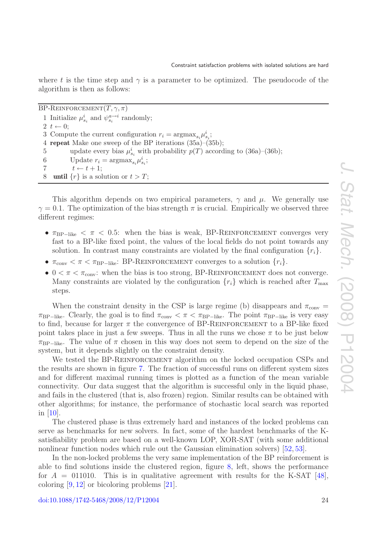where t is the time step and  $\gamma$  is a parameter to be optimized. The pseudocode of the algorithm is then as follows:

BP-REINFORCEMENT $(T, \gamma, \pi)$ 1 Initialize  $\mu_{s_i}^i$  and  $\psi_{s_i}^{a\rightarrow i}$  randomly; 2  $t \leftarrow 0$ ; 3 Compute the current configuration  $r_i = \text{argmax}_{s_i} \mu_{s_i}^i$ ; 4 **repeat** Make one sweep of the BP iterations (35a)–(35b); 5 update every bias  $\mu_{s_i}^i$  with probability  $p(T)$  according to (36a)–(36b); 6 Update  $r_i = \text{argmax}_{s_i} \mu_{s_i}^i$ ; 7  $t \leftarrow t + 1;$ 8 **until**  $\{r\}$  is a solution or  $t > T$ ;

This algorithm depends on two empirical parameters,  $\gamma$  and  $\mu$ . We generally use  $\gamma = 0.1$ . The optimization of the bias strength  $\pi$  is crucial. Empirically we observed three different regimes:

- $\pi_{BP-like} < \pi < 0.5$ : when the bias is weak, BP-REINFORCEMENT converges very fast to a BP-like fixed point, the values of the local fields do not point towards any solution. In contrast many constraints are violated by the final configuration  $\{r_i\}$ .
- $\pi_{\text{conv}} < \pi < \pi_{\text{BP-like}}$ : BP-REINFORCEMENT converges to a solution  $\{r_i\}$ .
- $0 < \pi < \pi_{conv}$ : when the bias is too strong, BP-REINFORCEMENT does not converge. Many constraints are violated by the configuration  ${r_i}$  which is reached after  $T_{\text{max}}$ steps.

When the constraint density in the CSP is large regime (b) disappears and  $\pi_{\text{conv}} =$  $\pi_{\rm BP-like}$ . Clearly, the goal is to find  $\pi_{\rm conv} < \pi < \pi_{\rm BP-like}$ . The point  $\pi_{\rm BP-like}$  is very easy to find, because for larger  $\pi$  the convergence of BP-REINFORCEMENT to a BP-like fixed point takes place in just a few sweeps. Thus in all the runs we chose  $\pi$  to be just below  $\pi_{\rm BP-like}$ . The value of  $\pi$  chosen in this way does not seem to depend on the size of the system, but it depends slightly on the constraint density.

We tested the BP-REINFORCEMENT algorithm on the locked occupation CSPs and the results are shown in figure [7.](#page-24-0) The fraction of successful runs on different system sizes and for different maximal running times is plotted as a function of the mean variable connectivity. Our data suggest that the algorithm is successful only in the liquid phase, and fails in the clustered (that is, also frozen) region. Similar results can be obtained with other algorithms; for instance, the performance of stochastic local search was reported in [\[10\]](#page-26-7).

The clustered phase is thus extremely hard and instances of the locked problems can serve as benchmarks for new solvers. In fact, some of the hardest benchmarks of the Ksatisfiability problem are based on a well-known LOP, XOR-SAT (with some additional nonlinear function nodes which rule out the Gaussian elimination solvers) [\[52,](#page-27-1) [53\]](#page-27-2).

In the non-locked problems the very same implementation of the BP reinforcement is able to find solutions inside the clustered region, figure [8,](#page-24-1) left, shows the performance for  $A = 011010$ . This is in qualitative agreement with results for the K-SAT [\[48\]](#page-26-42), coloring [\[9,](#page-26-6) [12\]](#page-26-23) or bicoloring problems [\[21\]](#page-26-16).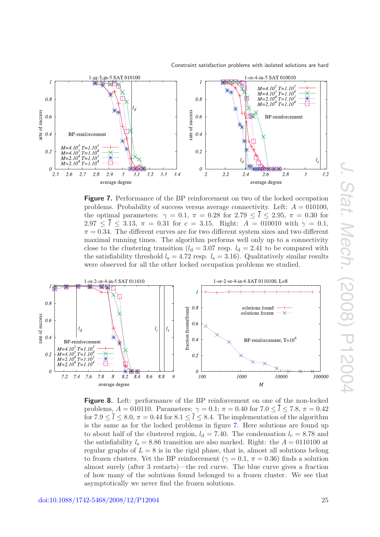

<span id="page-24-0"></span>

**Figure 7.** Performance of the BP reinforcement on two of the locked occupation problems. Probability of success versus average connectivity. Left:  $A = 010100$ , the optimal parameters:  $\gamma = 0.1$ ,  $\pi = 0.28$  for  $2.79 \leq \overline{l} \leq 2.95$ ,  $\pi = 0.30$  for  $2.97 \leq \bar{l} \leq 3.13$ ,  $\pi = 0.31$  for  $c = 3.15$ . Right:  $A = 010010$  with  $\gamma = 0.1$ ,  $\pi = 0.34$ . The different curves are for two different system sizes and two different maximal running times. The algorithm performs well only up to a connectivity close to the clustering transition ( $l_d = 3.07$  resp.  $l_d = 2.41$  to be compared with the satisfiability threshold  $l_s = 4.72$  resp.  $l_s = 3.16$ ). Qualitatively similar results were observed for all the other locked occupation problems we studied.

<span id="page-24-1"></span>

**Figure 8.** Left: performance of the BP reinforcement on one of the non-locked problems,  $A = 010110$ . Parameters:  $\gamma = 0.1$ ;  $\pi = 0.40$  for  $7.0 \leq \bar{l} \leq 7.8$ ,  $\pi = 0.42$ for  $7.9 \leq \overline{l} \leq 8.0$ ,  $\pi = 0.44$  for  $8.1 \leq \overline{l} \leq 8.4$ . The implementation of the algorithm is the same as for the locked problems in figure [7.](#page-24-0) Here solutions are found up to about half of the clustered region,  $l_d = 7.40$ . The condensation  $l_c = 8.78$  and the satisfiability  $l_s = 8.86$  transition are also marked. Right: the  $A = 0110100$  at regular graphs of  $L = 8$  is in the rigid phase, that is, almost all solutions belong to frozen clusters. Yet the BP reinforcement ( $\gamma = 0.1$ ,  $\pi = 0.36$ ) finds a solution almost surely (after 3 restarts)—the red curve. The blue curve gives a fraction of how many of the solutions found belonged to a frozen cluster. We see that asymptotically we never find the frozen solutions.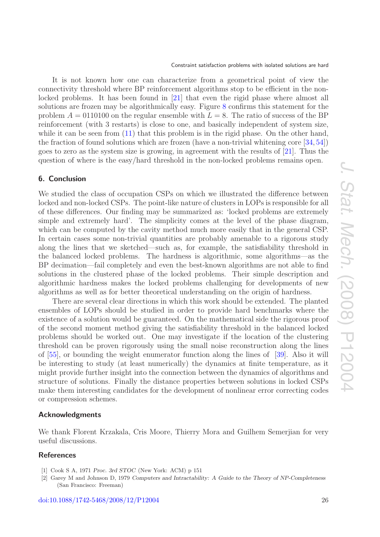It is not known how one can characterize from a geometrical point of view the connectivity threshold where BP reinforcement algorithms stop to be efficient in the nonlocked problems. It has been found in [\[21\]](#page-26-16) that even the rigid phase where almost all solutions are frozen may be algorithmically easy. Figure [8](#page-24-1) confirms this statement for the problem  $A = 0110100$  on the regular ensemble with  $L = 8$ . The ratio of success of the BP reinforcement (with 3 restarts) is close to one, and basically independent of system size, while it can be seen from  $(11)$  that this problem is in the rigid phase. On the other hand, the fraction of found solutions which are frozen (have a non-trivial whitening core [\[34,](#page-26-30) [54\]](#page-27-3)) goes to zero as the system size is growing, in agreement with the results of [\[21\]](#page-26-16). Thus the question of where is the easy/hard threshold in the non-locked problems remains open.

# <span id="page-25-1"></span>**6. Conclusion**

We studied the class of occupation CSPs on which we illustrated the difference between locked and non-locked CSPs. The point-like nature of clusters in LOPs is responsible for all of these differences. Our finding may be summarized as: 'locked problems are extremely simple and extremely hard'. The simplicity comes at the level of the phase diagram, which can be computed by the cavity method much more easily that in the general CSP. In certain cases some non-trivial quantities are probably amenable to a rigorous study along the lines that we sketched—such as, for example, the satisfiability threshold in the balanced locked problems. The hardness is algorithmic, some algorithms—as the BP decimation—fail completely and even the best-known algorithms are not able to find solutions in the clustered phase of the locked problems. Their simple description and algorithmic hardness makes the locked problems challenging for developments of new algorithms as well as for better theoretical understanding on the origin of hardness.

There are several clear directions in which this work should be extended. The planted ensembles of LOPs should be studied in order to provide hard benchmarks where the existence of a solution would be guaranteed. On the mathematical side the rigorous proof of the second moment method giving the satisfiability threshold in the balanced locked problems should be worked out. One may investigate if the location of the clustering threshold can be proven rigorously using the small noise reconstruction along the lines of [\[55\]](#page-27-4), or bounding the weight enumerator function along the lines of [\[39\]](#page-26-34). Also it will be interesting to study (at least numerically) the dynamics at finite temperature, as it might provide further insight into the connection between the dynamics of algorithms and structure of solutions. Finally the distance properties between solutions in locked CSPs make them interesting candidates for the development of nonlinear error correcting codes or compression schemes.

## <span id="page-25-2"></span>**Acknowledgments**

We thank Florent Krzakala, Cris Moore, Thierry Mora and Guilhem Semerjian for very useful discussions.

## <span id="page-25-3"></span><span id="page-25-0"></span>**References**

- <span id="page-25-5"></span><span id="page-25-4"></span>[1] Cook S A, 1971 *Proc. 3rd STOC* (New York: ACM) p 151
- [2] Garey M and Johnson D, 1979 *Computers and Intractability: A Guide to the Theory of NP-Completeness* (San Francisco: Freeman)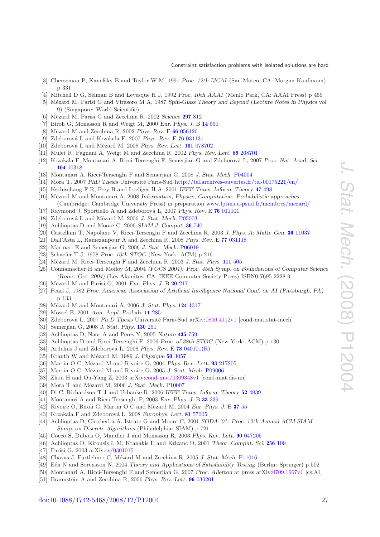- <span id="page-26-0"></span>[3] Cheeseman P, Kanefsky B and Taylor W M, 1991 *Proc. 12th IJCAI* (San Mateo, CA: Morgan Kaufmann) p 331
- <span id="page-26-2"></span><span id="page-26-1"></span>[4] Mitchell D G, Selman B and Levesque H J, 1992 *Proc. 10th AAAI* (Menlo Park, CA: AAAI Press) p 459
- [5] M´ezard M, Parisi G and Virasoro M A, 1987 *Spin-Glass Theory and Beyond* (*Lecture Notes in Physics* vol 9) (Singapore: World Scientific)
- <span id="page-26-4"></span><span id="page-26-3"></span>[6] M´ezard M, Parisi G and Zecchina R, 2002 *Science* **297** [812](http://dx.doi.org/10.1126/science.1073287)
- <span id="page-26-5"></span>[7] Biroli G, Monasson R and Weigt M, 2000 *Eur. Phys. J.* B **14** [551](http://dx.doi.org/10.1007/s100510051065)
- <span id="page-26-6"></span>[8] M´ezard M and Zecchina R, 2002 *Phys. Rev.* E **66** [056126](http://dx.doi.org/10.1103/PhysRevE.66.056126)
- <span id="page-26-7"></span>[9] Zdeborov´a L and Krzakala F, 2007 *Phys. Rev.* E **76** [031131](http://dx.doi.org/10.1103/PhysRevE.76.031131)
- <span id="page-26-8"></span>[10] Zdeborová L and Mézard M, 2008 *Phys. Rev. Lett.* **101** [078702](http://dx.doi.org/10.1103/PhysRevLett.101.078702)
- <span id="page-26-23"></span>[11] Mulet R, Pagnani A, Weigt M and Zecchina R, 2002 *Phys. Rev. Lett.* **89** [268701](http://dx.doi.org/10.1103/PhysRevLett.89.268701)
- <span id="page-26-9"></span>[12] Krzakala F, Montanari A, Ricci-Tersenghi F, Semerjian G and Zdeborov´a L, 2007 *Proc. Nat. Acad. Sci.* **104** [10318](http://dx.doi.org/10.1073/pnas.0703685104)
- <span id="page-26-10"></span>[13] Montanari A, Ricci-Tersenghi F and Semerjian G, 2008 *J. Stat. Mech.* [P04004](http://dx.doi.org/10.1088/1742-5468/2008/04/P04004)
- <span id="page-26-11"></span>[14] Mora T, 2007 *PhD Thesis* Université Paris-Sud <http://tel.archives-ouvertes.fr/tel-00175221/en/>
- <span id="page-26-12"></span>[15] Kschischang F R, Frey B and Loeliger H-A, 2001 *IEEE Trans. Inform. Theory* **47** [498](http://dx.doi.org/10.1109/18.910572)
- [16] M´ezard M and Montanari A, 2008 *Information, Physics, Computation: Probabilistic approaches* (Cambridge: Cambridge University Press) in preparation [www.lptms.u-psud.fr/membres/mezard/](http://www.lptms.u-psud.fr/membres/mezard/)
- <span id="page-26-14"></span><span id="page-26-13"></span>[17] Raymond J, Sportiello A and Zdeborov´a L, 2007 *Phys. Rev.* E **76** [011101](http://dx.doi.org/10.1103/PhysRevE.76.011101)
- <span id="page-26-15"></span>[18] Zdeborová L and Mézard M, 2006 *J. Stat. Mech.* [P05003](http://dx.doi.org/10.1088/1742-5468/2006/05/P05003)
- [19] Achlioptas D and Moore C, 2006 *SIAM J. Comput.* **36** [740](http://dx.doi.org/10.1137/S0097539703434231)
- <span id="page-26-16"></span>[20] Castellani T, Napolano V, Ricci-Tersenghi F and Zecchina R, 2003 *J. Phys. A: Math. Gen.* **36** [11037](http://dx.doi.org/10.1088/0305-4470/36/43/026)
- <span id="page-26-17"></span>[21] Dall'Asta L, Ramezanpour A and Zecchina R, 2008 *Phys. Rev.* E **77** [031118](http://dx.doi.org/10.1103/PhysRevE.77.031118)
- <span id="page-26-18"></span>[22] Marinari E and Semerjian G, 2006 *J. Stat. Mech.* [P06019](http://dx.doi.org/10.1088/1742-5468/2006/06/P06019)
- <span id="page-26-19"></span>[23] Schaefer T J, 1978 *Proc. 10th STOC* (New York: ACM) p 216
- <span id="page-26-20"></span>[24] M´ezard M, Ricci-Tersenghi F and Zecchina R, 2003 *J. Stat. Phys.* **111** [505](http://dx.doi.org/10.1023/A:1022886412117)
- [25] Connamacher H and Molloy M, 2004 *(FOCS 2004): Proc. 45th Symp. on Foundations of Computer Science (Rome, Oct. 2004)* (Los Alamitos, CA: IEEE Computer Society Press) ISBN0-7695-2228-9
- <span id="page-26-22"></span><span id="page-26-21"></span>[26] M´ezard M and Parisi G, 2001 *Eur. Phys. J.* B **20** [217](http://www.springerlink.com/content/mg5p2ay9m48hlcw2)
- [27] Pearl J, 1982 *Proc. American Association of Artificial Intelligence National Conf. on AI (Pittsburgh, PA)* p 133
- <span id="page-26-25"></span><span id="page-26-24"></span>[28] M´ezard M and Montanari A, 2006 *J. Stat. Phys.* **124** [1317](http://dx.doi.org/10.1007/s10955-006-9162-3)
- <span id="page-26-26"></span>[29] Mossel E, 2001 *Ann. Appl. Probab.* **11** [285](http://dx.doi.org/10.1214/aoap/998926994)
- <span id="page-26-27"></span>[30] Zdeborová L, 2007 *Ph D Thesis* Université Paris-Sud arXiv[:0806.4112v1](http://arxiv.org/abs/0806.4112v1) [cond-mat.stat-mech]
- <span id="page-26-28"></span>[31] Semerjian G, 2008 *J. Stat. Phys.* **130** [251](http://dx.doi.org/10.1007/s10955-007-9417-7)
- <span id="page-26-29"></span>[32] Achlioptas D, Naor A and Peres Y, 2005 *Nature* **435** [759](http://dx.doi.org/10.1038/nature03602)
- <span id="page-26-30"></span>[33] Achlioptas D and Ricci-Tersenghi F, 2006 *Proc. of 38th STOC* (New York: ACM) p 130
- <span id="page-26-31"></span>[34] Ardelius J and Zdeborov´a L, 2008 *Phys. Rev.* E **78** [040101\(R\)](http://dx.doi.org/10.1103/PhysRevE.78.040101)
- [35] Krauth W and Mézard M, 1989 *J. Physique* **50** [3057](http://dx.doi.org/10.1051/jphys:0198900500200305700)
- <span id="page-26-32"></span>[36] Martin O C, Mézard M and Rivoire O, 2004 *Phys. Rev. Lett.* **93** [217205](http://dx.doi.org/10.1103/PhysRevLett.93.217205)
- <span id="page-26-33"></span>[37] Martin O C, Mézard M and Rivoire O, 2005 *J. Stat. Mech.* [P09006](http://www.iop.org/EJ/abstract/1742-5468/2005/09/P09006)
- <span id="page-26-34"></span>[38] Zhou H and Ou-Yang Z, 2003 arXiv[:cond-mat/0309348v1](http://arxiv.org/abs/cond-mat/0309348v1) [cond-mat.dis-nn]
- <span id="page-26-35"></span>[39] Mora T and Mézard M, 2006 *J. Stat. Mech.* [P10007](http://dx.doi.org/10.1088/1742-5468/2006/10/P10007)
- <span id="page-26-36"></span>[40] Di C, Richardson T J and Urbanke R, 2006 *IEEE Trans. Inform. Theory* **52** [4839](http://dx.doi.org/10.1109/TIT.2006.883541)
- [41] Montanari A and Ricci-Tersenghi F, 2003 *Eur. Phys. J.* B **33** [339](http://dx.doi.org/10.1140/epjb/e2003-00174-7)
- <span id="page-26-37"></span>[42] Rivoire O, Biroli G, Martin O C and M´ezard M, 2004 *Eur. Phys. J.* B **37** [55](http://dx.doi.org/10.1140/epjb/e2004-00030-4)
- <span id="page-26-38"></span>[43] Krzakala F and Zdeborov´a L, 2008 *Europhys. Lett.* **81** [57005](http://dx.doi.org/10.1209/0295-5075/81/57005)
- [44] Achlioptas D, Chtcherba A, Istrate G and Moore C, 2001 *SODA '01: Proc. 12th Annual ACM-SIAM Symp. on Discrete Algorithms* (Philadelphia: SIAM) p 721
- <span id="page-26-40"></span><span id="page-26-39"></span>[45] Cocco S, Dubois O, Mandler J and Monasson R, 2003 *Phys. Rev. Lett.* **90** [047205](http://dx.doi.org/10.1103/PhysRevLett.90.047205)
- <span id="page-26-41"></span>[46] Achlioptas D, Kirousis L M, Kranakis E and Krizanc D, 2001 *Theor. Comput. Sci.* **256** [109](http://dx.doi.org/10.1016/S0304-3975(01)00154-2)
- <span id="page-26-42"></span>[47] Parisi G, 2003 arXiv[:cs/0301015](http://arxiv.org/abs/cs/0301015)
- <span id="page-26-43"></span>[48] Chavas J, Furtlehner C, Mézard M and Zecchina R, 2005 *J. Stat. Mech.* [P11016](http://dx.doi.org/10.1088/1742-5468/2005/11/P11016)
- <span id="page-26-44"></span>[49] E´en N and Sorensson N, 2004 *Theory and Applications of Satisfiability Testing* (Berlin: Springer) p 502
- <span id="page-26-45"></span>[50] Montanari A, Ricci-Tersenghi F and Semerjian G, 2007 *Proc. Allerton* at press arXiv[:0709.1667v1](http://arxiv.org/abs/0709.1667v1) [cs.AI]
- [51] Braunstein A and Zecchina R, 2006 *Phys. Rev. Lett.* **96** [030201](http://dx.doi.org/10.1103/PhysRevLett.96.030201)